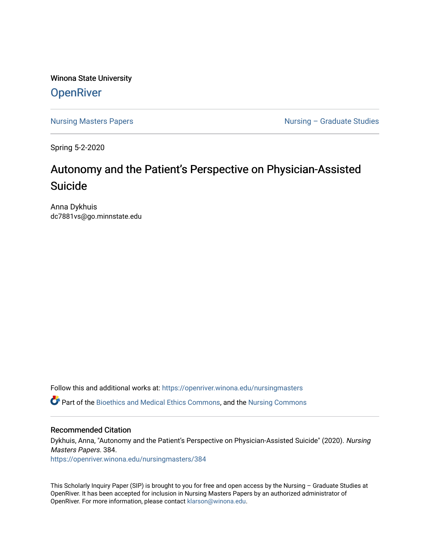Winona State University **OpenRiver** 

[Nursing Masters Papers](https://openriver.winona.edu/nursingmasters) **Nursing – Graduate Studies** 

Spring 5-2-2020

# Autonomy and the Patient's Perspective on Physician-Assisted Suicide

Anna Dykhuis dc7881vs@go.minnstate.edu

Follow this and additional works at: [https://openriver.winona.edu/nursingmasters](https://openriver.winona.edu/nursingmasters?utm_source=openriver.winona.edu%2Fnursingmasters%2F384&utm_medium=PDF&utm_campaign=PDFCoverPages) 

Part of the [Bioethics and Medical Ethics Commons,](http://network.bepress.com/hgg/discipline/650?utm_source=openriver.winona.edu%2Fnursingmasters%2F384&utm_medium=PDF&utm_campaign=PDFCoverPages) and the [Nursing Commons](http://network.bepress.com/hgg/discipline/718?utm_source=openriver.winona.edu%2Fnursingmasters%2F384&utm_medium=PDF&utm_campaign=PDFCoverPages) 

#### Recommended Citation

Dykhuis, Anna, "Autonomy and the Patient's Perspective on Physician-Assisted Suicide" (2020). Nursing Masters Papers. 384.

[https://openriver.winona.edu/nursingmasters/384](https://openriver.winona.edu/nursingmasters/384?utm_source=openriver.winona.edu%2Fnursingmasters%2F384&utm_medium=PDF&utm_campaign=PDFCoverPages) 

This Scholarly Inquiry Paper (SIP) is brought to you for free and open access by the Nursing – Graduate Studies at OpenRiver. It has been accepted for inclusion in Nursing Masters Papers by an authorized administrator of OpenRiver. For more information, please contact [klarson@winona.edu](mailto:klarson@winona.edu).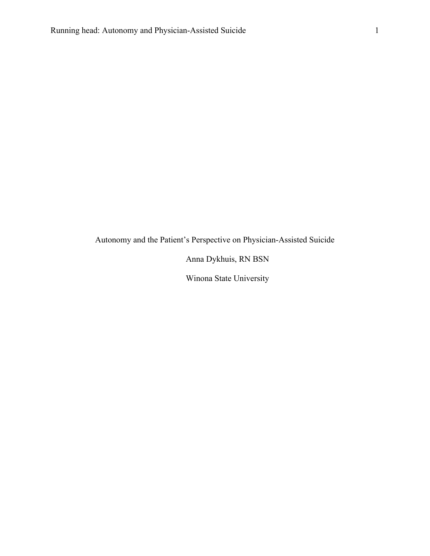Autonomy and the Patient's Perspective on Physician-Assisted Suicide

Anna Dykhuis, RN BSN

Winona State University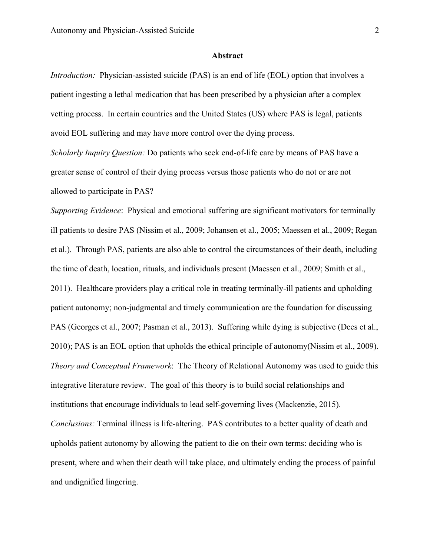#### **Abstract**

*Introduction:* Physician-assisted suicide (PAS) is an end of life (EOL) option that involves a patient ingesting a lethal medication that has been prescribed by a physician after a complex vetting process. In certain countries and the United States (US) where PAS is legal, patients avoid EOL suffering and may have more control over the dying process.

*Scholarly Inquiry Question:* Do patients who seek end-of-life care by means of PAS have a greater sense of control of their dying process versus those patients who do not or are not allowed to participate in PAS?

*Supporting Evidence*: Physical and emotional suffering are significant motivators for terminally ill patients to desire PAS (Nissim et al., 2009; Johansen et al., 2005; Maessen et al., 2009; Regan et al.). Through PAS, patients are also able to control the circumstances of their death, including the time of death, location, rituals, and individuals present (Maessen et al., 2009; Smith et al., 2011). Healthcare providers play a critical role in treating terminally-ill patients and upholding patient autonomy; non-judgmental and timely communication are the foundation for discussing PAS (Georges et al., 2007; Pasman et al., 2013). Suffering while dying is subjective (Dees et al., 2010); PAS is an EOL option that upholds the ethical principle of autonomy(Nissim et al., 2009). *Theory and Conceptual Framework*: The Theory of Relational Autonomy was used to guide this integrative literature review. The goal of this theory is to build social relationships and institutions that encourage individuals to lead self-governing lives (Mackenzie, 2015). *Conclusions:* Terminal illness is life-altering. PAS contributes to a better quality of death and upholds patient autonomy by allowing the patient to die on their own terms: deciding who is present, where and when their death will take place, and ultimately ending the process of painful and undignified lingering.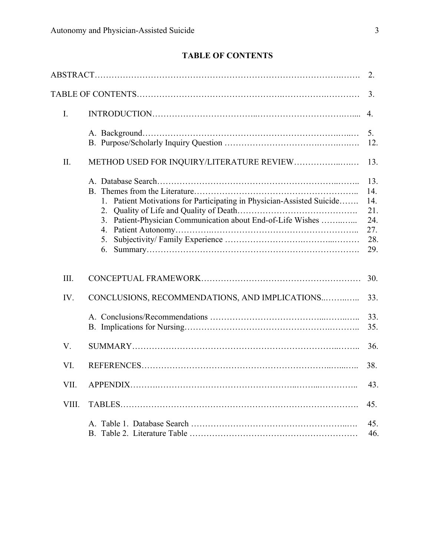# **TABLE OF CONTENTS**

|       |                                                                                                                                                                     | 2.                                                   |
|-------|---------------------------------------------------------------------------------------------------------------------------------------------------------------------|------------------------------------------------------|
|       |                                                                                                                                                                     | 3.                                                   |
| I.    |                                                                                                                                                                     | 4.                                                   |
|       |                                                                                                                                                                     | 5.<br>12.                                            |
| Π.    | METHOD USED FOR INQUIRY/LITERATURE REVIEW                                                                                                                           | 13.                                                  |
|       | Patient Motivations for Participating in Physician-Assisted Suicide<br>1.<br>2.<br>Patient-Physician Communication about End-of-Life Wishes<br>3.<br>4.<br>5.<br>6. | 13.<br>14.<br>14.<br>21.<br>24.<br>27.<br>28.<br>29. |
| III.  |                                                                                                                                                                     | 30.                                                  |
| IV.   | CONCLUSIONS, RECOMMENDATIONS, AND IMPLICATIONS                                                                                                                      | 33.                                                  |
|       |                                                                                                                                                                     | 33.<br>35.                                           |
| V.    |                                                                                                                                                                     | 36.                                                  |
| VI.   |                                                                                                                                                                     | 38.                                                  |
| VII.  |                                                                                                                                                                     | 43.                                                  |
| VIII. |                                                                                                                                                                     | 45.                                                  |
|       |                                                                                                                                                                     | 45.<br>46.                                           |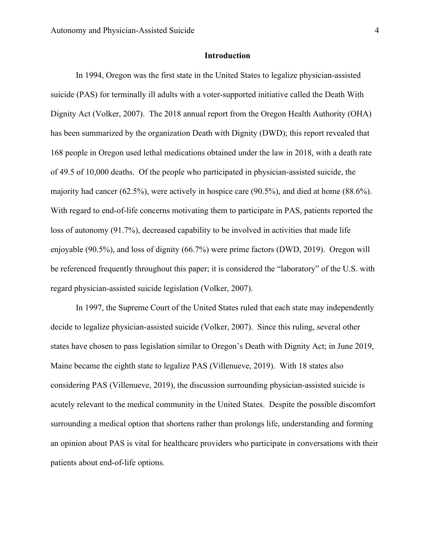#### **Introduction**

In 1994, Oregon was the first state in the United States to legalize physician-assisted suicide (PAS) for terminally ill adults with a voter-supported initiative called the Death With Dignity Act (Volker, 2007). The 2018 annual report from the Oregon Health Authority (OHA) has been summarized by the organization Death with Dignity (DWD); this report revealed that 168 people in Oregon used lethal medications obtained under the law in 2018, with a death rate of 49.5 of 10,000 deaths. Of the people who participated in physician-assisted suicide, the majority had cancer (62.5%), were actively in hospice care (90.5%), and died at home (88.6%). With regard to end-of-life concerns motivating them to participate in PAS, patients reported the loss of autonomy (91.7%), decreased capability to be involved in activities that made life enjoyable (90.5%), and loss of dignity (66.7%) were prime factors (DWD, 2019). Oregon will be referenced frequently throughout this paper; it is considered the "laboratory" of the U.S. with regard physician-assisted suicide legislation (Volker, 2007).

In 1997, the Supreme Court of the United States ruled that each state may independently decide to legalize physician-assisted suicide (Volker, 2007). Since this ruling, several other states have chosen to pass legislation similar to Oregon's Death with Dignity Act; in June 2019, Maine became the eighth state to legalize PAS (Villenueve, 2019). With 18 states also considering PAS (Villenueve, 2019), the discussion surrounding physician-assisted suicide is acutely relevant to the medical community in the United States. Despite the possible discomfort surrounding a medical option that shortens rather than prolongs life, understanding and forming an opinion about PAS is vital for healthcare providers who participate in conversations with their patients about end-of-life options.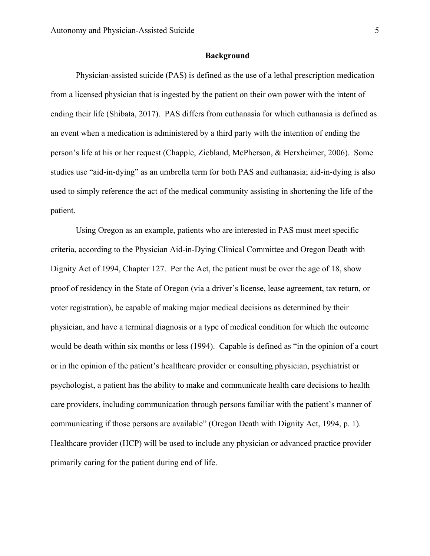#### **Background**

Physician-assisted suicide (PAS) is defined as the use of a lethal prescription medication from a licensed physician that is ingested by the patient on their own power with the intent of ending their life (Shibata, 2017). PAS differs from euthanasia for which euthanasia is defined as an event when a medication is administered by a third party with the intention of ending the person's life at his or her request (Chapple, Ziebland, McPherson, & Herxheimer, 2006). Some studies use "aid-in-dying" as an umbrella term for both PAS and euthanasia; aid-in-dying is also used to simply reference the act of the medical community assisting in shortening the life of the patient.

Using Oregon as an example, patients who are interested in PAS must meet specific criteria, according to the Physician Aid-in-Dying Clinical Committee and Oregon Death with Dignity Act of 1994, Chapter 127. Per the Act, the patient must be over the age of 18, show proof of residency in the State of Oregon (via a driver's license, lease agreement, tax return, or voter registration), be capable of making major medical decisions as determined by their physician, and have a terminal diagnosis or a type of medical condition for which the outcome would be death within six months or less (1994). Capable is defined as "in the opinion of a court or in the opinion of the patient's healthcare provider or consulting physician, psychiatrist or psychologist, a patient has the ability to make and communicate health care decisions to health care providers, including communication through persons familiar with the patient's manner of communicating if those persons are available" (Oregon Death with Dignity Act, 1994, p. 1). Healthcare provider (HCP) will be used to include any physician or advanced practice provider primarily caring for the patient during end of life.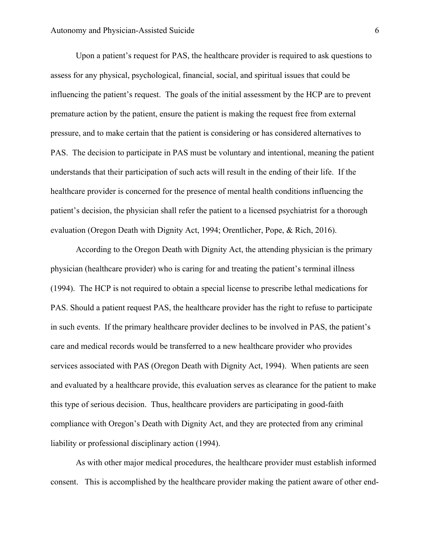Upon a patient's request for PAS, the healthcare provider is required to ask questions to assess for any physical, psychological, financial, social, and spiritual issues that could be influencing the patient's request. The goals of the initial assessment by the HCP are to prevent premature action by the patient, ensure the patient is making the request free from external pressure, and to make certain that the patient is considering or has considered alternatives to PAS. The decision to participate in PAS must be voluntary and intentional, meaning the patient understands that their participation of such acts will result in the ending of their life. If the healthcare provider is concerned for the presence of mental health conditions influencing the patient's decision, the physician shall refer the patient to a licensed psychiatrist for a thorough evaluation (Oregon Death with Dignity Act, 1994; Orentlicher, Pope, & Rich, 2016).

According to the Oregon Death with Dignity Act, the attending physician is the primary physician (healthcare provider) who is caring for and treating the patient's terminal illness (1994). The HCP is not required to obtain a special license to prescribe lethal medications for PAS. Should a patient request PAS, the healthcare provider has the right to refuse to participate in such events. If the primary healthcare provider declines to be involved in PAS, the patient's care and medical records would be transferred to a new healthcare provider who provides services associated with PAS (Oregon Death with Dignity Act, 1994). When patients are seen and evaluated by a healthcare provide, this evaluation serves as clearance for the patient to make this type of serious decision. Thus, healthcare providers are participating in good-faith compliance with Oregon's Death with Dignity Act, and they are protected from any criminal liability or professional disciplinary action (1994).

As with other major medical procedures, the healthcare provider must establish informed consent. This is accomplished by the healthcare provider making the patient aware of other end-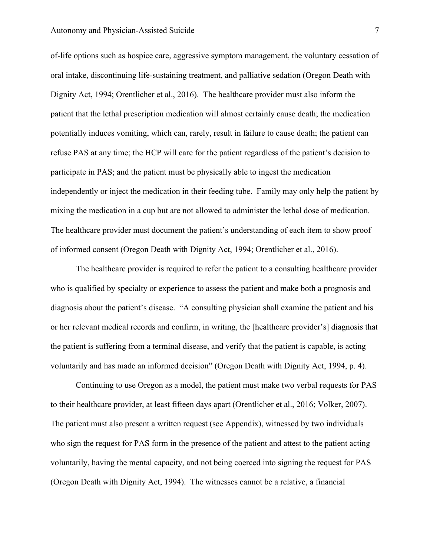#### Autonomy and Physician-Assisted Suicide 7 7

of-life options such as hospice care, aggressive symptom management, the voluntary cessation of oral intake, discontinuing life-sustaining treatment, and palliative sedation (Oregon Death with Dignity Act, 1994; Orentlicher et al., 2016). The healthcare provider must also inform the patient that the lethal prescription medication will almost certainly cause death; the medication potentially induces vomiting, which can, rarely, result in failure to cause death; the patient can refuse PAS at any time; the HCP will care for the patient regardless of the patient's decision to participate in PAS; and the patient must be physically able to ingest the medication independently or inject the medication in their feeding tube. Family may only help the patient by mixing the medication in a cup but are not allowed to administer the lethal dose of medication. The healthcare provider must document the patient's understanding of each item to show proof of informed consent (Oregon Death with Dignity Act, 1994; Orentlicher et al., 2016).

The healthcare provider is required to refer the patient to a consulting healthcare provider who is qualified by specialty or experience to assess the patient and make both a prognosis and diagnosis about the patient's disease. "A consulting physician shall examine the patient and his or her relevant medical records and confirm, in writing, the [healthcare provider's] diagnosis that the patient is suffering from a terminal disease, and verify that the patient is capable, is acting voluntarily and has made an informed decision" (Oregon Death with Dignity Act, 1994, p. 4).

Continuing to use Oregon as a model, the patient must make two verbal requests for PAS to their healthcare provider, at least fifteen days apart (Orentlicher et al., 2016; Volker, 2007). The patient must also present a written request (see Appendix), witnessed by two individuals who sign the request for PAS form in the presence of the patient and attest to the patient acting voluntarily, having the mental capacity, and not being coerced into signing the request for PAS (Oregon Death with Dignity Act, 1994). The witnesses cannot be a relative, a financial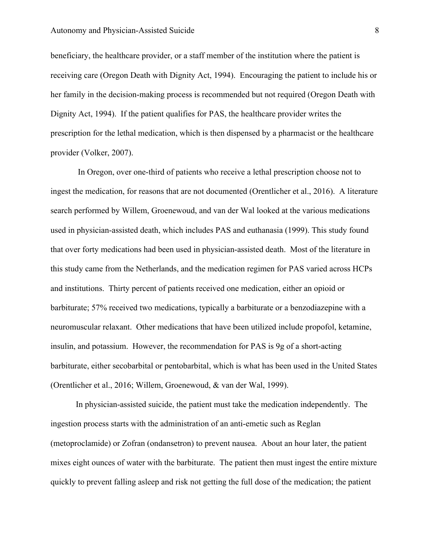beneficiary, the healthcare provider, or a staff member of the institution where the patient is receiving care (Oregon Death with Dignity Act, 1994). Encouraging the patient to include his or her family in the decision-making process is recommended but not required (Oregon Death with Dignity Act, 1994). If the patient qualifies for PAS, the healthcare provider writes the prescription for the lethal medication, which is then dispensed by a pharmacist or the healthcare provider (Volker, 2007).

In Oregon, over one-third of patients who receive a lethal prescription choose not to ingest the medication, for reasons that are not documented (Orentlicher et al., 2016). A literature search performed by Willem, Groenewoud, and van der Wal looked at the various medications used in physician-assisted death, which includes PAS and euthanasia (1999). This study found that over forty medications had been used in physician-assisted death. Most of the literature in this study came from the Netherlands, and the medication regimen for PAS varied across HCPs and institutions. Thirty percent of patients received one medication, either an opioid or barbiturate; 57% received two medications, typically a barbiturate or a benzodiazepine with a neuromuscular relaxant. Other medications that have been utilized include propofol, ketamine, insulin, and potassium. However, the recommendation for PAS is 9g of a short-acting barbiturate, either secobarbital or pentobarbital, which is what has been used in the United States (Orentlicher et al., 2016; Willem, Groenewoud, & van der Wal, 1999).

In physician-assisted suicide, the patient must take the medication independently. The ingestion process starts with the administration of an anti-emetic such as Reglan (metoproclamide) or Zofran (ondansetron) to prevent nausea. About an hour later, the patient mixes eight ounces of water with the barbiturate. The patient then must ingest the entire mixture quickly to prevent falling asleep and risk not getting the full dose of the medication; the patient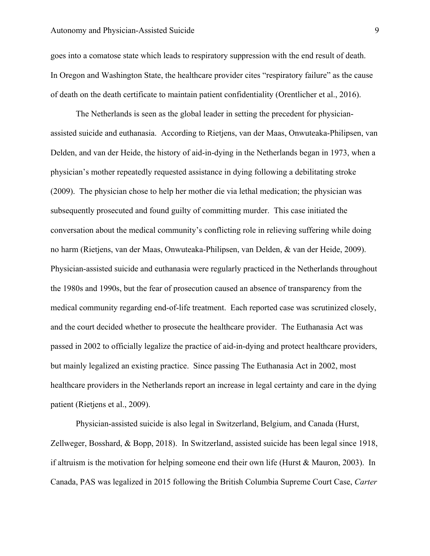#### Autonomy and Physician-Assisted Suicide 9

goes into a comatose state which leads to respiratory suppression with the end result of death. In Oregon and Washington State, the healthcare provider cites "respiratory failure" as the cause of death on the death certificate to maintain patient confidentiality (Orentlicher et al., 2016).

The Netherlands is seen as the global leader in setting the precedent for physicianassisted suicide and euthanasia. According to Rietjens, van der Maas, Onwuteaka-Philipsen, van Delden, and van der Heide, the history of aid-in-dying in the Netherlands began in 1973, when a physician's mother repeatedly requested assistance in dying following a debilitating stroke (2009). The physician chose to help her mother die via lethal medication; the physician was subsequently prosecuted and found guilty of committing murder. This case initiated the conversation about the medical community's conflicting role in relieving suffering while doing no harm (Rietjens, van der Maas, Onwuteaka-Philipsen, van Delden, & van der Heide, 2009). Physician-assisted suicide and euthanasia were regularly practiced in the Netherlands throughout the 1980s and 1990s, but the fear of prosecution caused an absence of transparency from the medical community regarding end-of-life treatment. Each reported case was scrutinized closely, and the court decided whether to prosecute the healthcare provider. The Euthanasia Act was passed in 2002 to officially legalize the practice of aid-in-dying and protect healthcare providers, but mainly legalized an existing practice. Since passing The Euthanasia Act in 2002, most healthcare providers in the Netherlands report an increase in legal certainty and care in the dying patient (Rietjens et al., 2009).

Physician-assisted suicide is also legal in Switzerland, Belgium, and Canada (Hurst, Zellweger, Bosshard, & Bopp, 2018). In Switzerland, assisted suicide has been legal since 1918, if altruism is the motivation for helping someone end their own life (Hurst & Mauron, 2003). In Canada, PAS was legalized in 2015 following the British Columbia Supreme Court Case, *Carter*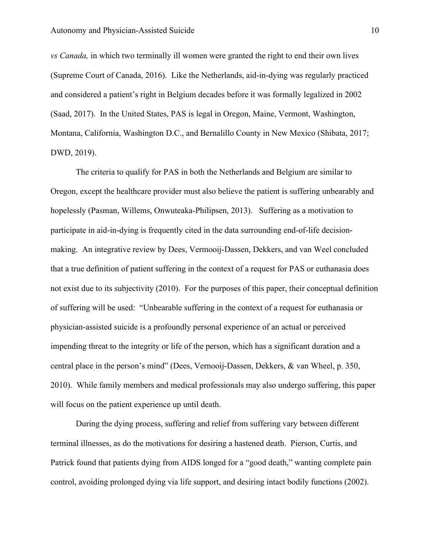*vs Canada,* in which two terminally ill women were granted the right to end their own lives (Supreme Court of Canada, 2016). Like the Netherlands, aid-in-dying was regularly practiced and considered a patient's right in Belgium decades before it was formally legalized in 2002 (Saad, 2017). In the United States, PAS is legal in Oregon, Maine, Vermont, Washington, Montana, California, Washington D.C., and Bernalillo County in New Mexico (Shibata, 2017; DWD, 2019).

The criteria to qualify for PAS in both the Netherlands and Belgium are similar to Oregon, except the healthcare provider must also believe the patient is suffering unbearably and hopelessly (Pasman, Willems, Onwuteaka-Philipsen, 2013). Suffering as a motivation to participate in aid-in-dying is frequently cited in the data surrounding end-of-life decisionmaking. An integrative review by Dees, Vermooij-Dassen, Dekkers, and van Weel concluded that a true definition of patient suffering in the context of a request for PAS or euthanasia does not exist due to its subjectivity (2010). For the purposes of this paper, their conceptual definition of suffering will be used: "Unbearable suffering in the context of a request for euthanasia or physician-assisted suicide is a profoundly personal experience of an actual or perceived impending threat to the integrity or life of the person, which has a significant duration and a central place in the person's mind" (Dees, Vernooij-Dassen, Dekkers, & van Wheel, p. 350, 2010). While family members and medical professionals may also undergo suffering, this paper will focus on the patient experience up until death.

During the dying process, suffering and relief from suffering vary between different terminal illnesses, as do the motivations for desiring a hastened death. Pierson, Curtis, and Patrick found that patients dying from AIDS longed for a "good death," wanting complete pain control, avoiding prolonged dying via life support, and desiring intact bodily functions (2002).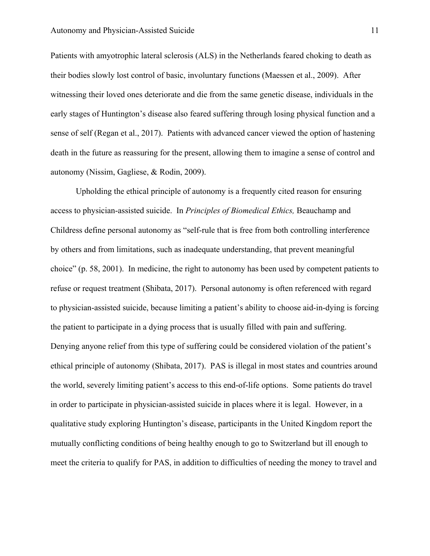Patients with amyotrophic lateral sclerosis (ALS) in the Netherlands feared choking to death as their bodies slowly lost control of basic, involuntary functions (Maessen et al., 2009). After witnessing their loved ones deteriorate and die from the same genetic disease, individuals in the early stages of Huntington's disease also feared suffering through losing physical function and a sense of self (Regan et al., 2017). Patients with advanced cancer viewed the option of hastening death in the future as reassuring for the present, allowing them to imagine a sense of control and autonomy (Nissim, Gagliese, & Rodin, 2009).

Upholding the ethical principle of autonomy is a frequently cited reason for ensuring access to physician-assisted suicide. In *Principles of Biomedical Ethics,* Beauchamp and Childress define personal autonomy as "self-rule that is free from both controlling interference by others and from limitations, such as inadequate understanding, that prevent meaningful choice" (p. 58, 2001). In medicine, the right to autonomy has been used by competent patients to refuse or request treatment (Shibata, 2017). Personal autonomy is often referenced with regard to physician-assisted suicide, because limiting a patient's ability to choose aid-in-dying is forcing the patient to participate in a dying process that is usually filled with pain and suffering. Denying anyone relief from this type of suffering could be considered violation of the patient's ethical principle of autonomy (Shibata, 2017). PAS is illegal in most states and countries around the world, severely limiting patient's access to this end-of-life options. Some patients do travel in order to participate in physician-assisted suicide in places where it is legal. However, in a qualitative study exploring Huntington's disease, participants in the United Kingdom report the mutually conflicting conditions of being healthy enough to go to Switzerland but ill enough to meet the criteria to qualify for PAS, in addition to difficulties of needing the money to travel and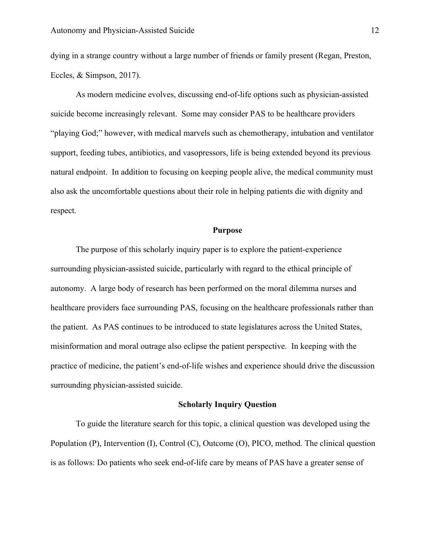dying in a strange country without a large number of friends or family present (Regan, Preston, Eccles, & Simpson, 2017).

As modern medicine evolves, discussing end-of-life options such as physician-assisted suicide become increasingly relevant. Some may consider PAS to be healthcare providers "playing God;" however, with medical marvels such as chemotherapy, intubation and ventilator support, feeding tubes, antibiotics, and vasopressors, life is being extended beyond its previous natural endpoint. In addition to focusing on keeping people alive, the medical community must also ask the uncomfortable questions about their role in helping patients die with dignity and respect.

#### **Purpose**

The purpose of this scholarly inquiry paper is to explore the patient-experience surrounding physician-assisted suicide, particularly with regard to the ethical principle of autonomy. A large body of research has been performed on the moral dilemma nurses and healthcare providers face surrounding PAS, focusing on the healthcare professionals rather than the patient. As PAS continues to be introduced to state legislatures across the United States, misinformation and moral outrage also eclipse the patient perspective. In keeping with the practice of medicine, the patient's end-of-life wishes and experience should drive the discussion surrounding physician-assisted suicide.

#### **Scholarly Inquiry Question**

To guide the literature search for this topic, a clinical question was developed using the Population (P), Intervention (I), Control (C), Outcome (O), PICO, method. The clinical question is as follows: Do patients who seek end-of-life care by means of PAS have a greater sense of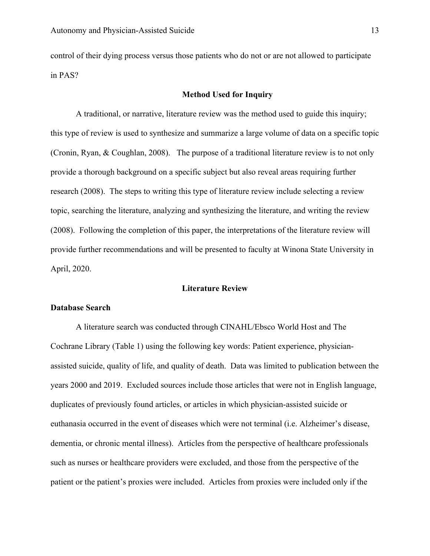control of their dying process versus those patients who do not or are not allowed to participate in PAS?

#### **Method Used for Inquiry**

A traditional, or narrative, literature review was the method used to guide this inquiry; this type of review is used to synthesize and summarize a large volume of data on a specific topic (Cronin, Ryan, & Coughlan, 2008). The purpose of a traditional literature review is to not only provide a thorough background on a specific subject but also reveal areas requiring further research (2008). The steps to writing this type of literature review include selecting a review topic, searching the literature, analyzing and synthesizing the literature, and writing the review (2008). Following the completion of this paper, the interpretations of the literature review will provide further recommendations and will be presented to faculty at Winona State University in April, 2020.

#### **Literature Review**

#### **Database Search**

A literature search was conducted through CINAHL/Ebsco World Host and The Cochrane Library (Table 1) using the following key words: Patient experience, physicianassisted suicide, quality of life, and quality of death. Data was limited to publication between the years 2000 and 2019. Excluded sources include those articles that were not in English language, duplicates of previously found articles, or articles in which physician-assisted suicide or euthanasia occurred in the event of diseases which were not terminal (i.e. Alzheimer's disease, dementia, or chronic mental illness). Articles from the perspective of healthcare professionals such as nurses or healthcare providers were excluded, and those from the perspective of the patient or the patient's proxies were included. Articles from proxies were included only if the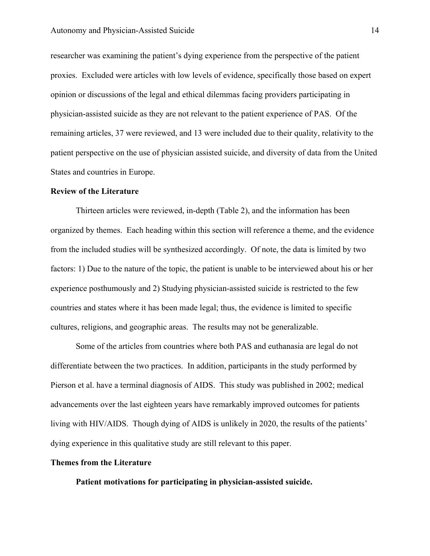researcher was examining the patient's dying experience from the perspective of the patient proxies. Excluded were articles with low levels of evidence, specifically those based on expert opinion or discussions of the legal and ethical dilemmas facing providers participating in physician-assisted suicide as they are not relevant to the patient experience of PAS. Of the remaining articles, 37 were reviewed, and 13 were included due to their quality, relativity to the patient perspective on the use of physician assisted suicide, and diversity of data from the United States and countries in Europe.

#### **Review of the Literature**

Thirteen articles were reviewed, in-depth (Table 2), and the information has been organized by themes. Each heading within this section will reference a theme, and the evidence from the included studies will be synthesized accordingly. Of note, the data is limited by two factors: 1) Due to the nature of the topic, the patient is unable to be interviewed about his or her experience posthumously and 2) Studying physician-assisted suicide is restricted to the few countries and states where it has been made legal; thus, the evidence is limited to specific cultures, religions, and geographic areas. The results may not be generalizable.

Some of the articles from countries where both PAS and euthanasia are legal do not differentiate between the two practices. In addition, participants in the study performed by Pierson et al. have a terminal diagnosis of AIDS. This study was published in 2002; medical advancements over the last eighteen years have remarkably improved outcomes for patients living with HIV/AIDS. Though dying of AIDS is unlikely in 2020, the results of the patients' dying experience in this qualitative study are still relevant to this paper.

#### **Themes from the Literature**

**Patient motivations for participating in physician-assisted suicide.**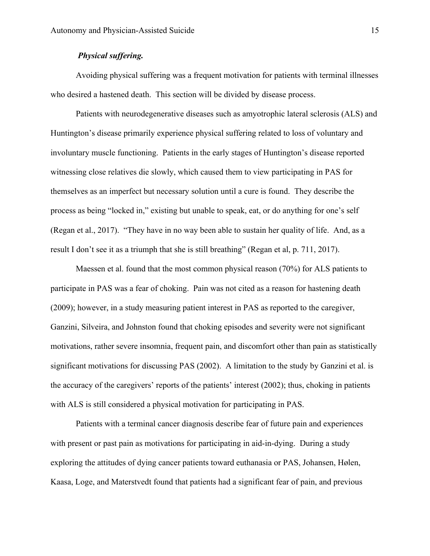### *Physical suffering.*

Avoiding physical suffering was a frequent motivation for patients with terminal illnesses who desired a hastened death. This section will be divided by disease process.

Patients with neurodegenerative diseases such as amyotrophic lateral sclerosis (ALS) and Huntington's disease primarily experience physical suffering related to loss of voluntary and involuntary muscle functioning. Patients in the early stages of Huntington's disease reported witnessing close relatives die slowly, which caused them to view participating in PAS for themselves as an imperfect but necessary solution until a cure is found. They describe the process as being "locked in," existing but unable to speak, eat, or do anything for one's self (Regan et al., 2017). "They have in no way been able to sustain her quality of life. And, as a result I don't see it as a triumph that she is still breathing" (Regan et al, p. 711, 2017).

Maessen et al. found that the most common physical reason (70%) for ALS patients to participate in PAS was a fear of choking. Pain was not cited as a reason for hastening death (2009); however, in a study measuring patient interest in PAS as reported to the caregiver, Ganzini, Silveira, and Johnston found that choking episodes and severity were not significant motivations, rather severe insomnia, frequent pain, and discomfort other than pain as statistically significant motivations for discussing PAS (2002). A limitation to the study by Ganzini et al. is the accuracy of the caregivers' reports of the patients' interest (2002); thus, choking in patients with ALS is still considered a physical motivation for participating in PAS.

Patients with a terminal cancer diagnosis describe fear of future pain and experiences with present or past pain as motivations for participating in aid-in-dying. During a study exploring the attitudes of dying cancer patients toward euthanasia or PAS, Johansen, Hølen, Kaasa, Loge, and Materstvedt found that patients had a significant fear of pain, and previous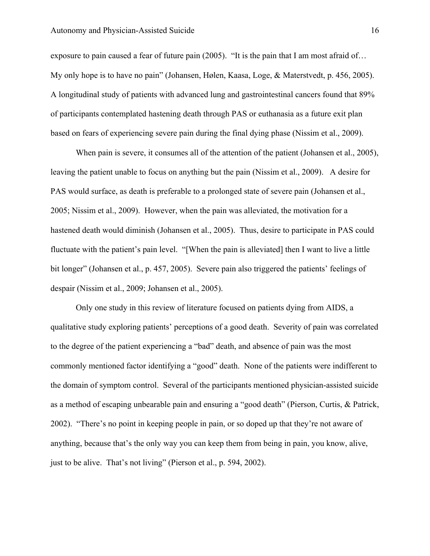exposure to pain caused a fear of future pain (2005). "It is the pain that I am most afraid of… My only hope is to have no pain" (Johansen, Hølen, Kaasa, Loge, & Materstvedt, p. 456, 2005). A longitudinal study of patients with advanced lung and gastrointestinal cancers found that 89% of participants contemplated hastening death through PAS or euthanasia as a future exit plan based on fears of experiencing severe pain during the final dying phase (Nissim et al., 2009).

When pain is severe, it consumes all of the attention of the patient (Johansen et al., 2005), leaving the patient unable to focus on anything but the pain (Nissim et al., 2009). A desire for PAS would surface, as death is preferable to a prolonged state of severe pain (Johansen et al., 2005; Nissim et al., 2009). However, when the pain was alleviated, the motivation for a hastened death would diminish (Johansen et al., 2005). Thus, desire to participate in PAS could fluctuate with the patient's pain level. "[When the pain is alleviated] then I want to live a little bit longer" (Johansen et al., p. 457, 2005). Severe pain also triggered the patients' feelings of despair (Nissim et al., 2009; Johansen et al., 2005).

Only one study in this review of literature focused on patients dying from AIDS, a qualitative study exploring patients' perceptions of a good death. Severity of pain was correlated to the degree of the patient experiencing a "bad" death, and absence of pain was the most commonly mentioned factor identifying a "good" death. None of the patients were indifferent to the domain of symptom control. Several of the participants mentioned physician-assisted suicide as a method of escaping unbearable pain and ensuring a "good death" (Pierson, Curtis, & Patrick, 2002). "There's no point in keeping people in pain, or so doped up that they're not aware of anything, because that's the only way you can keep them from being in pain, you know, alive, just to be alive. That's not living" (Pierson et al., p. 594, 2002).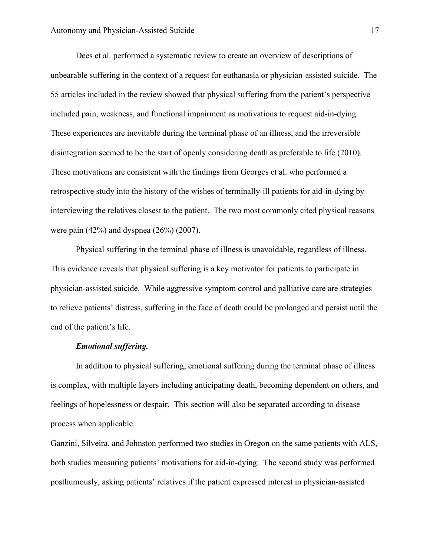Dees et al. performed a systematic review to create an overview of descriptions of unbearable suffering in the context of a request for euthanasia or physician-assisted suicide. The 55 articles included in the review showed that physical suffering from the patient's perspective included pain, weakness, and functional impairment as motivations to request aid-in-dying. These experiences are inevitable during the terminal phase of an illness, and the irreversible disintegration seemed to be the start of openly considering death as preferable to life (2010). These motivations are consistent with the findings from Georges et al. who performed a retrospective study into the history of the wishes of terminally-ill patients for aid-in-dying by interviewing the relatives closest to the patient. The two most commonly cited physical reasons were pain (42%) and dyspnea (26%) (2007).

Physical suffering in the terminal phase of illness is unavoidable, regardless of illness. This evidence reveals that physical suffering is a key motivator for patients to participate in physician-assisted suicide. While aggressive symptom control and palliative care are strategies to relieve patients' distress, suffering in the face of death could be prolonged and persist until the end of the patient's life.

#### *Emotional suffering.*

In addition to physical suffering, emotional suffering during the terminal phase of illness is complex, with multiple layers including anticipating death, becoming dependent on others, and feelings of hopelessness or despair. This section will also be separated according to disease process when applicable.

Ganzini, Silveira, and Johnston performed two studies in Oregon on the same patients with ALS, both studies measuring patients' motivations for aid-in-dying. The second study was performed posthumously, asking patients' relatives if the patient expressed interest in physician-assisted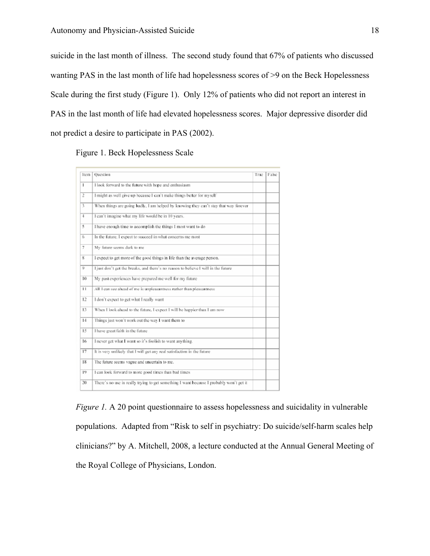suicide in the last month of illness. The second study found that 67% of patients who discussed wanting PAS in the last month of life had hopelessness scores of >9 on the Beck Hopelessness Scale during the first study (Figure 1). Only 12% of patients who did not report an interest in PAS in the last month of life had elevated hopelessness scores. Major depressive disorder did not predict a desire to participate in PAS (2002).

Figure 1. Beck Hopelessness Scale

| Item           | Ouestion                                                                                | True | False |
|----------------|-----------------------------------------------------------------------------------------|------|-------|
| $\mathbf{I}$   | I look forward to the future with hope and enthusiasm                                   |      |       |
| 2              | I might as well give up because I can't make things better for myself                   |      |       |
| 3              | When things are going badly, I am helped by knowing they can't stay that way forever    |      |       |
| $\overline{4}$ | I can't imagine what my life would be in 10 years.                                      |      |       |
| 5              | I have enough time to accomplish the things I most want to do                           |      |       |
| 6              | In the future, I expect to succeed in what concerns me most                             |      |       |
| 7              | My future seems dark to me                                                              |      |       |
| 8              | I expect to get more of the good things in life than the average person.                |      |       |
| 9.             | I just don't get the breaks, and there's no reason to believe I will in the future      |      |       |
| 10             | My past experiences have prepared me well for my future                                 |      |       |
| 11             | All I can see ahead of me is unpleasantness rather than pleasantness                    |      |       |
| 12             | I don't expect to get what I really want                                                |      |       |
| 13             | When I look ahead to the future, I expect I will be happier than I am now               |      |       |
| 14             | Things just won't work out the way I want them to                                       |      |       |
| 15             | I have great faith in the future                                                        |      |       |
| 16             | I never get what I want so it's foolish to want anything.                               |      |       |
| 17             | It is very unlikely that I will get any real satisfaction in the future                 |      |       |
| 18             | The future seems vague and uncertain to me.                                             |      |       |
| 19             | I can look forward to more good times than bad times                                    |      |       |
| 20             | There's no use in really trying to get something I want because I probably won't get it |      |       |

*Figure 1.* A 20 point questionnaire to assess hopelessness and suicidality in vulnerable populations. Adapted from "Risk to self in psychiatry: Do suicide/self-harm scales help clinicians?" by A. Mitchell, 2008, a lecture conducted at the Annual General Meeting of the Royal College of Physicians, London.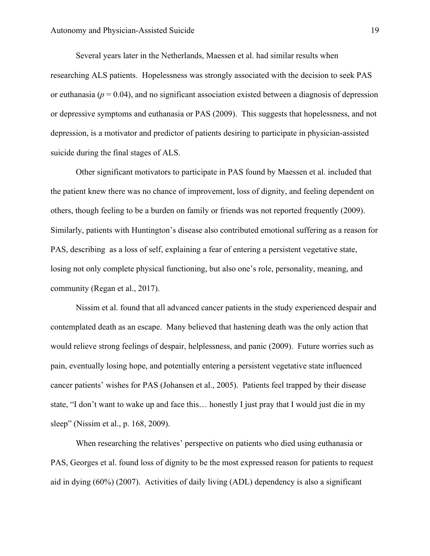Several years later in the Netherlands, Maessen et al. had similar results when researching ALS patients. Hopelessness was strongly associated with the decision to seek PAS or euthanasia ( $p = 0.04$ ), and no significant association existed between a diagnosis of depression or depressive symptoms and euthanasia or PAS (2009). This suggests that hopelessness, and not depression, is a motivator and predictor of patients desiring to participate in physician-assisted suicide during the final stages of ALS.

Other significant motivators to participate in PAS found by Maessen et al. included that the patient knew there was no chance of improvement, loss of dignity, and feeling dependent on others, though feeling to be a burden on family or friends was not reported frequently (2009). Similarly, patients with Huntington's disease also contributed emotional suffering as a reason for PAS, describing as a loss of self, explaining a fear of entering a persistent vegetative state, losing not only complete physical functioning, but also one's role, personality, meaning, and community (Regan et al., 2017).

Nissim et al. found that all advanced cancer patients in the study experienced despair and contemplated death as an escape. Many believed that hastening death was the only action that would relieve strong feelings of despair, helplessness, and panic (2009). Future worries such as pain, eventually losing hope, and potentially entering a persistent vegetative state influenced cancer patients' wishes for PAS (Johansen et al., 2005). Patients feel trapped by their disease state, "I don't want to wake up and face this… honestly I just pray that I would just die in my sleep" (Nissim et al., p. 168, 2009).

When researching the relatives' perspective on patients who died using euthanasia or PAS, Georges et al. found loss of dignity to be the most expressed reason for patients to request aid in dying (60%) (2007). Activities of daily living (ADL) dependency is also a significant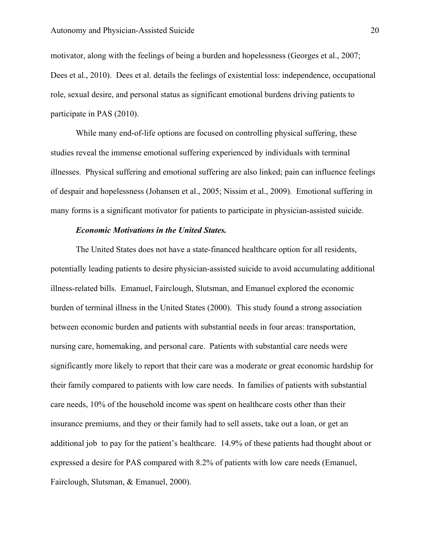motivator, along with the feelings of being a burden and hopelessness (Georges et al., 2007; Dees et al., 2010). Dees et al. details the feelings of existential loss: independence, occupational role, sexual desire, and personal status as significant emotional burdens driving patients to participate in PAS (2010).

While many end-of-life options are focused on controlling physical suffering, these studies reveal the immense emotional suffering experienced by individuals with terminal illnesses. Physical suffering and emotional suffering are also linked; pain can influence feelings of despair and hopelessness (Johansen et al., 2005; Nissim et al., 2009). Emotional suffering in many forms is a significant motivator for patients to participate in physician-assisted suicide.

#### *Economic Motivations in the United States.*

The United States does not have a state-financed healthcare option for all residents, potentially leading patients to desire physician-assisted suicide to avoid accumulating additional illness-related bills. Emanuel, Fairclough, Slutsman, and Emanuel explored the economic burden of terminal illness in the United States (2000). This study found a strong association between economic burden and patients with substantial needs in four areas: transportation, nursing care, homemaking, and personal care. Patients with substantial care needs were significantly more likely to report that their care was a moderate or great economic hardship for their family compared to patients with low care needs. In families of patients with substantial care needs, 10% of the household income was spent on healthcare costs other than their insurance premiums, and they or their family had to sell assets, take out a loan, or get an additional job to pay for the patient's healthcare. 14.9% of these patients had thought about or expressed a desire for PAS compared with 8.2% of patients with low care needs (Emanuel, Fairclough, Slutsman, & Emanuel, 2000).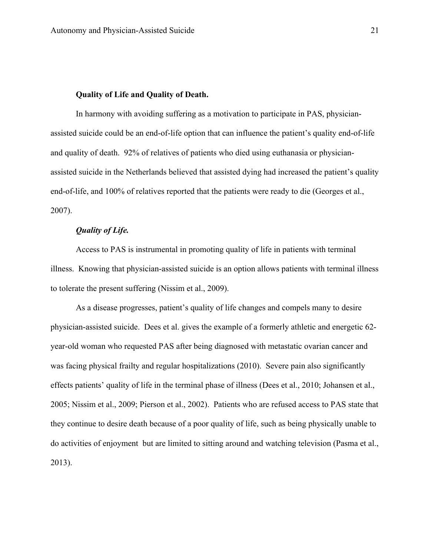#### **Quality of Life and Quality of Death.**

In harmony with avoiding suffering as a motivation to participate in PAS, physicianassisted suicide could be an end-of-life option that can influence the patient's quality end-of-life and quality of death. 92% of relatives of patients who died using euthanasia or physicianassisted suicide in the Netherlands believed that assisted dying had increased the patient's quality end-of-life, and 100% of relatives reported that the patients were ready to die (Georges et al., 2007).

#### *Quality of Life.*

Access to PAS is instrumental in promoting quality of life in patients with terminal illness. Knowing that physician-assisted suicide is an option allows patients with terminal illness to tolerate the present suffering (Nissim et al., 2009).

As a disease progresses, patient's quality of life changes and compels many to desire physician-assisted suicide. Dees et al. gives the example of a formerly athletic and energetic 62 year-old woman who requested PAS after being diagnosed with metastatic ovarian cancer and was facing physical frailty and regular hospitalizations (2010). Severe pain also significantly effects patients' quality of life in the terminal phase of illness (Dees et al., 2010; Johansen et al., 2005; Nissim et al., 2009; Pierson et al., 2002). Patients who are refused access to PAS state that they continue to desire death because of a poor quality of life, such as being physically unable to do activities of enjoyment but are limited to sitting around and watching television (Pasma et al., 2013).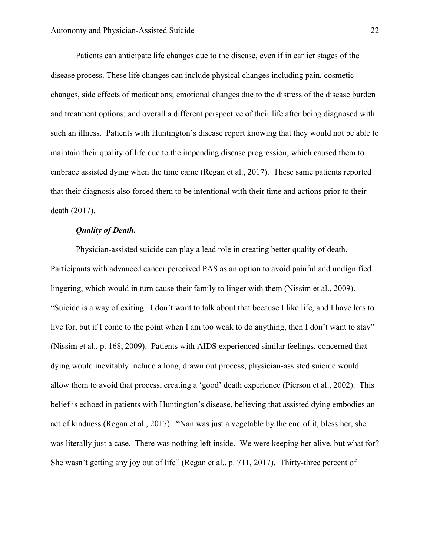Patients can anticipate life changes due to the disease, even if in earlier stages of the disease process. These life changes can include physical changes including pain, cosmetic changes, side effects of medications; emotional changes due to the distress of the disease burden and treatment options; and overall a different perspective of their life after being diagnosed with such an illness. Patients with Huntington's disease report knowing that they would not be able to maintain their quality of life due to the impending disease progression, which caused them to embrace assisted dying when the time came (Regan et al., 2017). These same patients reported that their diagnosis also forced them to be intentional with their time and actions prior to their death (2017).

#### *Quality of Death.*

Physician-assisted suicide can play a lead role in creating better quality of death. Participants with advanced cancer perceived PAS as an option to avoid painful and undignified lingering, which would in turn cause their family to linger with them (Nissim et al., 2009). "Suicide is a way of exiting. I don't want to talk about that because I like life, and I have lots to live for, but if I come to the point when I am too weak to do anything, then I don't want to stay" (Nissim et al., p. 168, 2009). Patients with AIDS experienced similar feelings, concerned that dying would inevitably include a long, drawn out process; physician-assisted suicide would allow them to avoid that process, creating a 'good' death experience (Pierson et al., 2002). This belief is echoed in patients with Huntington's disease, believing that assisted dying embodies an act of kindness (Regan et al., 2017). "Nan was just a vegetable by the end of it, bless her, she was literally just a case. There was nothing left inside. We were keeping her alive, but what for? She wasn't getting any joy out of life" (Regan et al., p. 711, 2017). Thirty-three percent of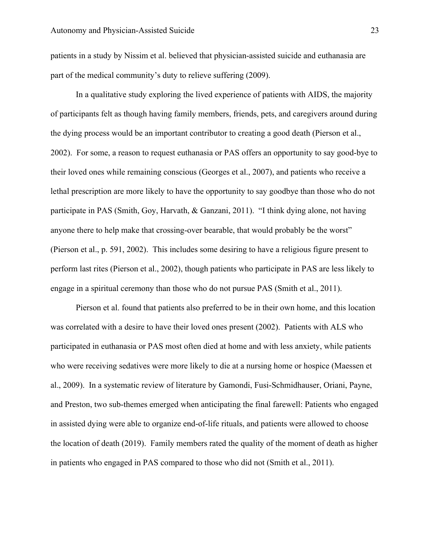patients in a study by Nissim et al. believed that physician-assisted suicide and euthanasia are part of the medical community's duty to relieve suffering (2009).

In a qualitative study exploring the lived experience of patients with AIDS, the majority of participants felt as though having family members, friends, pets, and caregivers around during the dying process would be an important contributor to creating a good death (Pierson et al., 2002). For some, a reason to request euthanasia or PAS offers an opportunity to say good-bye to their loved ones while remaining conscious (Georges et al., 2007), and patients who receive a lethal prescription are more likely to have the opportunity to say goodbye than those who do not participate in PAS (Smith, Goy, Harvath, & Ganzani, 2011). "I think dying alone, not having anyone there to help make that crossing-over bearable, that would probably be the worst" (Pierson et al., p. 591, 2002). This includes some desiring to have a religious figure present to perform last rites (Pierson et al., 2002), though patients who participate in PAS are less likely to engage in a spiritual ceremony than those who do not pursue PAS (Smith et al., 2011).

Pierson et al. found that patients also preferred to be in their own home, and this location was correlated with a desire to have their loved ones present (2002). Patients with ALS who participated in euthanasia or PAS most often died at home and with less anxiety, while patients who were receiving sedatives were more likely to die at a nursing home or hospice (Maessen et al., 2009). In a systematic review of literature by Gamondi, Fusi-Schmidhauser, Oriani, Payne, and Preston, two sub-themes emerged when anticipating the final farewell: Patients who engaged in assisted dying were able to organize end-of-life rituals, and patients were allowed to choose the location of death (2019). Family members rated the quality of the moment of death as higher in patients who engaged in PAS compared to those who did not (Smith et al., 2011).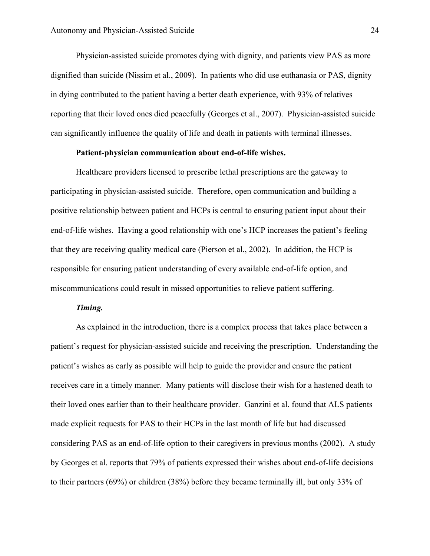Physician-assisted suicide promotes dying with dignity, and patients view PAS as more dignified than suicide (Nissim et al., 2009). In patients who did use euthanasia or PAS, dignity in dying contributed to the patient having a better death experience, with 93% of relatives reporting that their loved ones died peacefully (Georges et al., 2007). Physician-assisted suicide can significantly influence the quality of life and death in patients with terminal illnesses.

#### **Patient-physician communication about end-of-life wishes.**

Healthcare providers licensed to prescribe lethal prescriptions are the gateway to participating in physician-assisted suicide. Therefore, open communication and building a positive relationship between patient and HCPs is central to ensuring patient input about their end-of-life wishes. Having a good relationship with one's HCP increases the patient's feeling that they are receiving quality medical care (Pierson et al., 2002). In addition, the HCP is responsible for ensuring patient understanding of every available end-of-life option, and miscommunications could result in missed opportunities to relieve patient suffering.

#### *Timing.*

As explained in the introduction, there is a complex process that takes place between a patient's request for physician-assisted suicide and receiving the prescription. Understanding the patient's wishes as early as possible will help to guide the provider and ensure the patient receives care in a timely manner. Many patients will disclose their wish for a hastened death to their loved ones earlier than to their healthcare provider. Ganzini et al. found that ALS patients made explicit requests for PAS to their HCPs in the last month of life but had discussed considering PAS as an end-of-life option to their caregivers in previous months (2002). A study by Georges et al. reports that 79% of patients expressed their wishes about end-of-life decisions to their partners (69%) or children (38%) before they became terminally ill, but only 33% of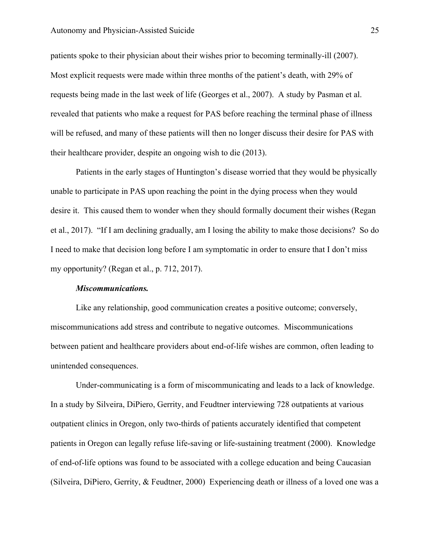patients spoke to their physician about their wishes prior to becoming terminally-ill (2007). Most explicit requests were made within three months of the patient's death, with 29% of requests being made in the last week of life (Georges et al., 2007). A study by Pasman et al. revealed that patients who make a request for PAS before reaching the terminal phase of illness will be refused, and many of these patients will then no longer discuss their desire for PAS with their healthcare provider, despite an ongoing wish to die (2013).

Patients in the early stages of Huntington's disease worried that they would be physically unable to participate in PAS upon reaching the point in the dying process when they would desire it. This caused them to wonder when they should formally document their wishes (Regan et al., 2017). "If I am declining gradually, am I losing the ability to make those decisions? So do I need to make that decision long before I am symptomatic in order to ensure that I don't miss my opportunity? (Regan et al., p. 712, 2017).

#### *Miscommunications.*

Like any relationship, good communication creates a positive outcome; conversely, miscommunications add stress and contribute to negative outcomes. Miscommunications between patient and healthcare providers about end-of-life wishes are common, often leading to unintended consequences.

Under-communicating is a form of miscommunicating and leads to a lack of knowledge. In a study by Silveira, DiPiero, Gerrity, and Feudtner interviewing 728 outpatients at various outpatient clinics in Oregon, only two-thirds of patients accurately identified that competent patients in Oregon can legally refuse life-saving or life-sustaining treatment (2000). Knowledge of end-of-life options was found to be associated with a college education and being Caucasian (Silveira, DiPiero, Gerrity, & Feudtner, 2000) Experiencing death or illness of a loved one was a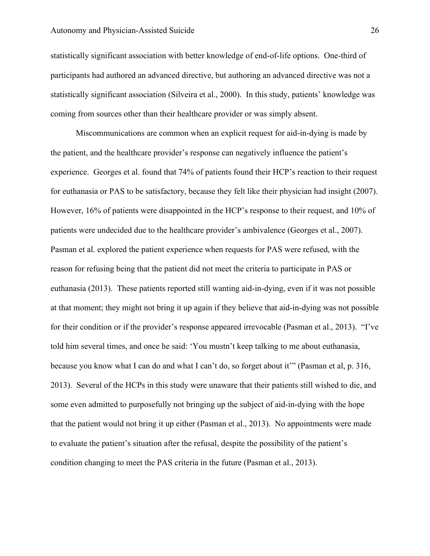statistically significant association with better knowledge of end-of-life options. One-third of participants had authored an advanced directive, but authoring an advanced directive was not a statistically significant association (Silveira et al., 2000). In this study, patients' knowledge was coming from sources other than their healthcare provider or was simply absent.

Miscommunications are common when an explicit request for aid-in-dying is made by the patient, and the healthcare provider's response can negatively influence the patient's experience. Georges et al. found that 74% of patients found their HCP's reaction to their request for euthanasia or PAS to be satisfactory, because they felt like their physician had insight (2007). However, 16% of patients were disappointed in the HCP's response to their request, and 10% of patients were undecided due to the healthcare provider's ambivalence (Georges et al., 2007). Pasman et al. explored the patient experience when requests for PAS were refused, with the reason for refusing being that the patient did not meet the criteria to participate in PAS or euthanasia (2013). These patients reported still wanting aid-in-dying, even if it was not possible at that moment; they might not bring it up again if they believe that aid-in-dying was not possible for their condition or if the provider's response appeared irrevocable (Pasman et al., 2013). "I've told him several times, and once he said: 'You mustn't keep talking to me about euthanasia, because you know what I can do and what I can't do, so forget about it'" (Pasman et al, p. 316, 2013). Several of the HCPs in this study were unaware that their patients still wished to die, and some even admitted to purposefully not bringing up the subject of aid-in-dying with the hope that the patient would not bring it up either (Pasman et al., 2013). No appointments were made to evaluate the patient's situation after the refusal, despite the possibility of the patient's condition changing to meet the PAS criteria in the future (Pasman et al., 2013).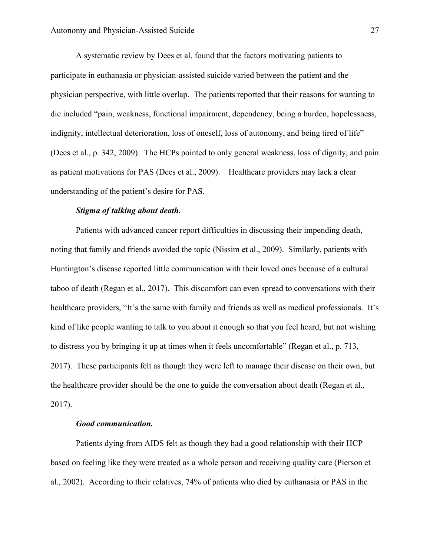A systematic review by Dees et al. found that the factors motivating patients to participate in euthanasia or physician-assisted suicide varied between the patient and the physician perspective, with little overlap. The patients reported that their reasons for wanting to die included "pain, weakness, functional impairment, dependency, being a burden, hopelessness, indignity, intellectual deterioration, loss of oneself, loss of autonomy, and being tired of life" (Dees et al., p. 342, 2009). The HCPs pointed to only general weakness, loss of dignity, and pain as patient motivations for PAS (Dees et al., 2009). Healthcare providers may lack a clear understanding of the patient's desire for PAS.

#### *Stigma of talking about death.*

Patients with advanced cancer report difficulties in discussing their impending death, noting that family and friends avoided the topic (Nissim et al., 2009). Similarly, patients with Huntington's disease reported little communication with their loved ones because of a cultural taboo of death (Regan et al., 2017). This discomfort can even spread to conversations with their healthcare providers, "It's the same with family and friends as well as medical professionals. It's kind of like people wanting to talk to you about it enough so that you feel heard, but not wishing to distress you by bringing it up at times when it feels uncomfortable" (Regan et al., p. 713, 2017). These participants felt as though they were left to manage their disease on their own, but the healthcare provider should be the one to guide the conversation about death (Regan et al., 2017).

#### *Good communication.*

Patients dying from AIDS felt as though they had a good relationship with their HCP based on feeling like they were treated as a whole person and receiving quality care (Pierson et al., 2002). According to their relatives, 74% of patients who died by euthanasia or PAS in the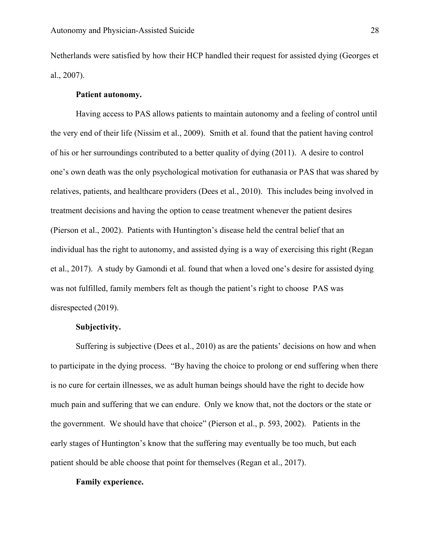Netherlands were satisfied by how their HCP handled their request for assisted dying (Georges et al., 2007).

#### **Patient autonomy.**

Having access to PAS allows patients to maintain autonomy and a feeling of control until the very end of their life (Nissim et al., 2009). Smith et al. found that the patient having control of his or her surroundings contributed to a better quality of dying (2011). A desire to control one's own death was the only psychological motivation for euthanasia or PAS that was shared by relatives, patients, and healthcare providers (Dees et al., 2010). This includes being involved in treatment decisions and having the option to cease treatment whenever the patient desires (Pierson et al., 2002). Patients with Huntington's disease held the central belief that an individual has the right to autonomy, and assisted dying is a way of exercising this right (Regan et al., 2017). A study by Gamondi et al. found that when a loved one's desire for assisted dying was not fulfilled, family members felt as though the patient's right to choose PAS was disrespected (2019).

### **Subjectivity.**

Suffering is subjective (Dees et al., 2010) as are the patients' decisions on how and when to participate in the dying process. "By having the choice to prolong or end suffering when there is no cure for certain illnesses, we as adult human beings should have the right to decide how much pain and suffering that we can endure. Only we know that, not the doctors or the state or the government. We should have that choice" (Pierson et al., p. 593, 2002). Patients in the early stages of Huntington's know that the suffering may eventually be too much, but each patient should be able choose that point for themselves (Regan et al., 2017).

#### **Family experience.**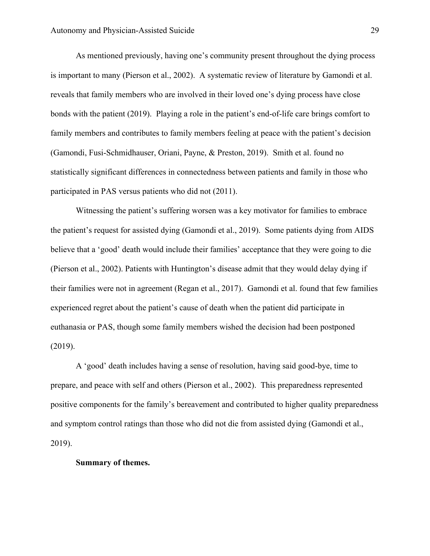As mentioned previously, having one's community present throughout the dying process is important to many (Pierson et al., 2002). A systematic review of literature by Gamondi et al. reveals that family members who are involved in their loved one's dying process have close bonds with the patient (2019). Playing a role in the patient's end-of-life care brings comfort to family members and contributes to family members feeling at peace with the patient's decision (Gamondi, Fusi-Schmidhauser, Oriani, Payne, & Preston, 2019). Smith et al. found no statistically significant differences in connectedness between patients and family in those who participated in PAS versus patients who did not (2011).

Witnessing the patient's suffering worsen was a key motivator for families to embrace the patient's request for assisted dying (Gamondi et al., 2019). Some patients dying from AIDS believe that a 'good' death would include their families' acceptance that they were going to die (Pierson et al., 2002). Patients with Huntington's disease admit that they would delay dying if their families were not in agreement (Regan et al., 2017). Gamondi et al. found that few families experienced regret about the patient's cause of death when the patient did participate in euthanasia or PAS, though some family members wished the decision had been postponed (2019).

A 'good' death includes having a sense of resolution, having said good-bye, time to prepare, and peace with self and others (Pierson et al., 2002). This preparedness represented positive components for the family's bereavement and contributed to higher quality preparedness and symptom control ratings than those who did not die from assisted dying (Gamondi et al., 2019).

#### **Summary of themes.**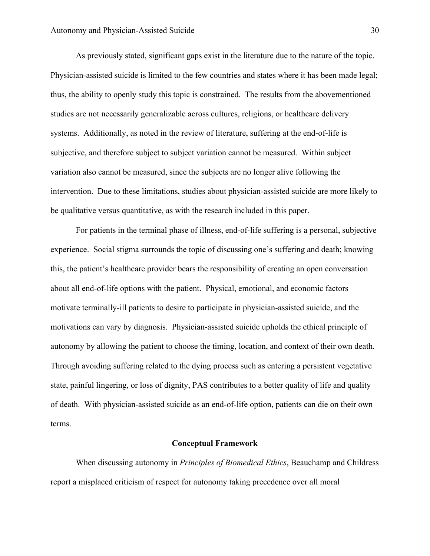As previously stated, significant gaps exist in the literature due to the nature of the topic. Physician-assisted suicide is limited to the few countries and states where it has been made legal; thus, the ability to openly study this topic is constrained. The results from the abovementioned studies are not necessarily generalizable across cultures, religions, or healthcare delivery systems. Additionally, as noted in the review of literature, suffering at the end-of-life is subjective, and therefore subject to subject variation cannot be measured. Within subject variation also cannot be measured, since the subjects are no longer alive following the intervention. Due to these limitations, studies about physician-assisted suicide are more likely to be qualitative versus quantitative, as with the research included in this paper.

For patients in the terminal phase of illness, end-of-life suffering is a personal, subjective experience. Social stigma surrounds the topic of discussing one's suffering and death; knowing this, the patient's healthcare provider bears the responsibility of creating an open conversation about all end-of-life options with the patient. Physical, emotional, and economic factors motivate terminally-ill patients to desire to participate in physician-assisted suicide, and the motivations can vary by diagnosis. Physician-assisted suicide upholds the ethical principle of autonomy by allowing the patient to choose the timing, location, and context of their own death. Through avoiding suffering related to the dying process such as entering a persistent vegetative state, painful lingering, or loss of dignity, PAS contributes to a better quality of life and quality of death. With physician-assisted suicide as an end-of-life option, patients can die on their own terms.

#### **Conceptual Framework**

When discussing autonomy in *Principles of Biomedical Ethics*, Beauchamp and Childress report a misplaced criticism of respect for autonomy taking precedence over all moral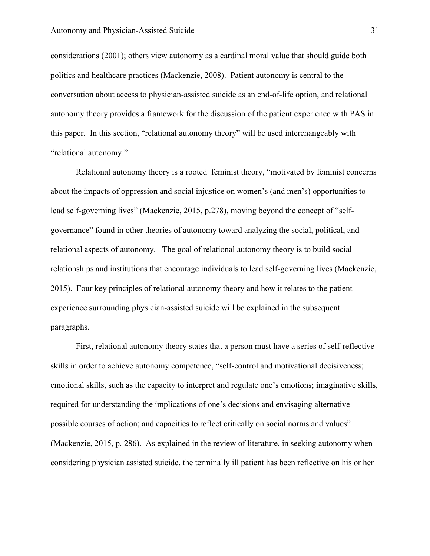considerations (2001); others view autonomy as a cardinal moral value that should guide both politics and healthcare practices (Mackenzie, 2008). Patient autonomy is central to the conversation about access to physician-assisted suicide as an end-of-life option, and relational autonomy theory provides a framework for the discussion of the patient experience with PAS in this paper. In this section, "relational autonomy theory" will be used interchangeably with "relational autonomy."

Relational autonomy theory is a rooted feminist theory, "motivated by feminist concerns about the impacts of oppression and social injustice on women's (and men's) opportunities to lead self-governing lives" (Mackenzie, 2015, p.278), moving beyond the concept of "selfgovernance" found in other theories of autonomy toward analyzing the social, political, and relational aspects of autonomy. The goal of relational autonomy theory is to build social relationships and institutions that encourage individuals to lead self-governing lives (Mackenzie, 2015). Four key principles of relational autonomy theory and how it relates to the patient experience surrounding physician-assisted suicide will be explained in the subsequent paragraphs.

First, relational autonomy theory states that a person must have a series of self-reflective skills in order to achieve autonomy competence, "self-control and motivational decisiveness; emotional skills, such as the capacity to interpret and regulate one's emotions; imaginative skills, required for understanding the implications of one's decisions and envisaging alternative possible courses of action; and capacities to reflect critically on social norms and values" (Mackenzie, 2015, p. 286). As explained in the review of literature, in seeking autonomy when considering physician assisted suicide, the terminally ill patient has been reflective on his or her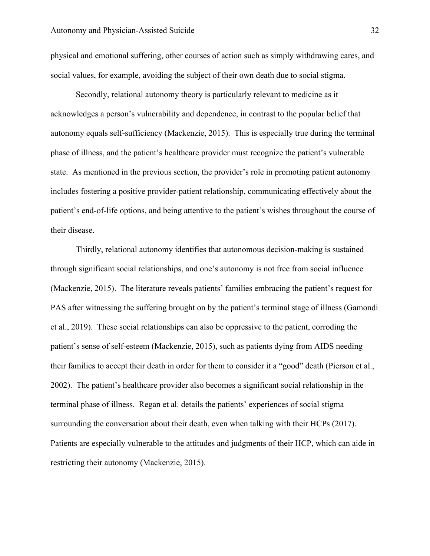physical and emotional suffering, other courses of action such as simply withdrawing cares, and social values, for example, avoiding the subject of their own death due to social stigma.

Secondly, relational autonomy theory is particularly relevant to medicine as it acknowledges a person's vulnerability and dependence, in contrast to the popular belief that autonomy equals self-sufficiency (Mackenzie, 2015). This is especially true during the terminal phase of illness, and the patient's healthcare provider must recognize the patient's vulnerable state. As mentioned in the previous section, the provider's role in promoting patient autonomy includes fostering a positive provider-patient relationship, communicating effectively about the patient's end-of-life options, and being attentive to the patient's wishes throughout the course of their disease.

Thirdly, relational autonomy identifies that autonomous decision-making is sustained through significant social relationships, and one's autonomy is not free from social influence (Mackenzie, 2015). The literature reveals patients' families embracing the patient's request for PAS after witnessing the suffering brought on by the patient's terminal stage of illness (Gamondi et al., 2019). These social relationships can also be oppressive to the patient, corroding the patient's sense of self-esteem (Mackenzie, 2015), such as patients dying from AIDS needing their families to accept their death in order for them to consider it a "good" death (Pierson et al., 2002). The patient's healthcare provider also becomes a significant social relationship in the terminal phase of illness. Regan et al. details the patients' experiences of social stigma surrounding the conversation about their death, even when talking with their HCPs (2017). Patients are especially vulnerable to the attitudes and judgments of their HCP, which can aide in restricting their autonomy (Mackenzie, 2015).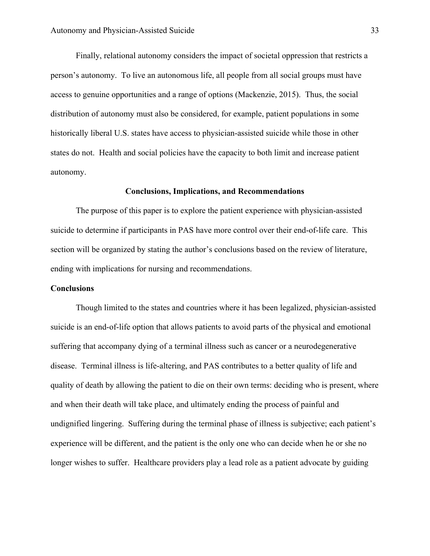Finally, relational autonomy considers the impact of societal oppression that restricts a person's autonomy. To live an autonomous life, all people from all social groups must have access to genuine opportunities and a range of options (Mackenzie, 2015). Thus, the social distribution of autonomy must also be considered, for example, patient populations in some historically liberal U.S. states have access to physician-assisted suicide while those in other states do not. Health and social policies have the capacity to both limit and increase patient autonomy.

#### **Conclusions, Implications, and Recommendations**

The purpose of this paper is to explore the patient experience with physician-assisted suicide to determine if participants in PAS have more control over their end-of-life care. This section will be organized by stating the author's conclusions based on the review of literature, ending with implications for nursing and recommendations.

#### **Conclusions**

Though limited to the states and countries where it has been legalized, physician-assisted suicide is an end-of-life option that allows patients to avoid parts of the physical and emotional suffering that accompany dying of a terminal illness such as cancer or a neurodegenerative disease. Terminal illness is life-altering, and PAS contributes to a better quality of life and quality of death by allowing the patient to die on their own terms: deciding who is present, where and when their death will take place, and ultimately ending the process of painful and undignified lingering. Suffering during the terminal phase of illness is subjective; each patient's experience will be different, and the patient is the only one who can decide when he or she no longer wishes to suffer. Healthcare providers play a lead role as a patient advocate by guiding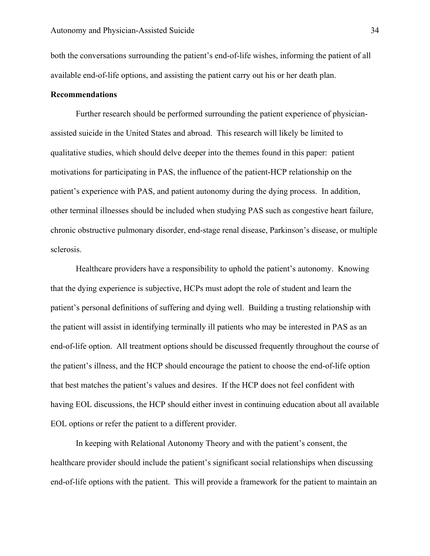both the conversations surrounding the patient's end-of-life wishes, informing the patient of all available end-of-life options, and assisting the patient carry out his or her death plan.

#### **Recommendations**

Further research should be performed surrounding the patient experience of physicianassisted suicide in the United States and abroad. This research will likely be limited to qualitative studies, which should delve deeper into the themes found in this paper: patient motivations for participating in PAS, the influence of the patient-HCP relationship on the patient's experience with PAS, and patient autonomy during the dying process. In addition, other terminal illnesses should be included when studying PAS such as congestive heart failure, chronic obstructive pulmonary disorder, end-stage renal disease, Parkinson's disease, or multiple sclerosis.

Healthcare providers have a responsibility to uphold the patient's autonomy. Knowing that the dying experience is subjective, HCPs must adopt the role of student and learn the patient's personal definitions of suffering and dying well. Building a trusting relationship with the patient will assist in identifying terminally ill patients who may be interested in PAS as an end-of-life option. All treatment options should be discussed frequently throughout the course of the patient's illness, and the HCP should encourage the patient to choose the end-of-life option that best matches the patient's values and desires. If the HCP does not feel confident with having EOL discussions, the HCP should either invest in continuing education about all available EOL options or refer the patient to a different provider.

In keeping with Relational Autonomy Theory and with the patient's consent, the healthcare provider should include the patient's significant social relationships when discussing end-of-life options with the patient. This will provide a framework for the patient to maintain an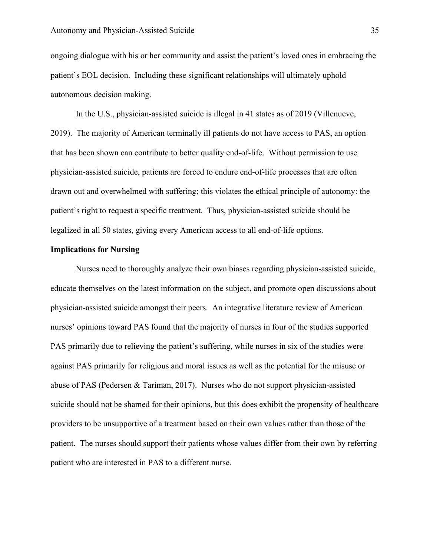ongoing dialogue with his or her community and assist the patient's loved ones in embracing the patient's EOL decision. Including these significant relationships will ultimately uphold autonomous decision making.

In the U.S., physician-assisted suicide is illegal in 41 states as of 2019 (Villenueve, 2019). The majority of American terminally ill patients do not have access to PAS, an option that has been shown can contribute to better quality end-of-life. Without permission to use physician-assisted suicide, patients are forced to endure end-of-life processes that are often drawn out and overwhelmed with suffering; this violates the ethical principle of autonomy: the patient's right to request a specific treatment. Thus, physician-assisted suicide should be legalized in all 50 states, giving every American access to all end-of-life options.

#### **Implications for Nursing**

Nurses need to thoroughly analyze their own biases regarding physician-assisted suicide, educate themselves on the latest information on the subject, and promote open discussions about physician-assisted suicide amongst their peers. An integrative literature review of American nurses' opinions toward PAS found that the majority of nurses in four of the studies supported PAS primarily due to relieving the patient's suffering, while nurses in six of the studies were against PAS primarily for religious and moral issues as well as the potential for the misuse or abuse of PAS (Pedersen & Tariman, 2017). Nurses who do not support physician-assisted suicide should not be shamed for their opinions, but this does exhibit the propensity of healthcare providers to be unsupportive of a treatment based on their own values rather than those of the patient. The nurses should support their patients whose values differ from their own by referring patient who are interested in PAS to a different nurse.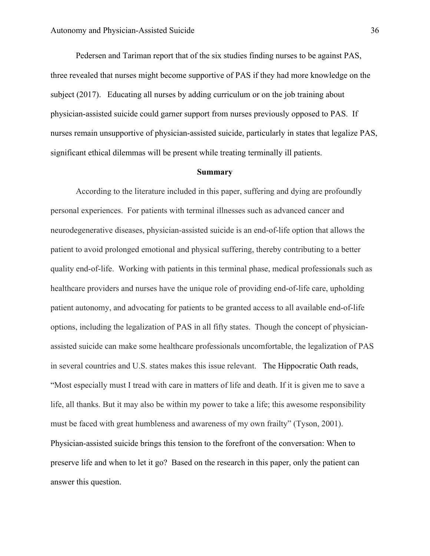Pedersen and Tariman report that of the six studies finding nurses to be against PAS, three revealed that nurses might become supportive of PAS if they had more knowledge on the subject (2017). Educating all nurses by adding curriculum or on the job training about physician-assisted suicide could garner support from nurses previously opposed to PAS. If nurses remain unsupportive of physician-assisted suicide, particularly in states that legalize PAS, significant ethical dilemmas will be present while treating terminally ill patients.

#### **Summary**

According to the literature included in this paper, suffering and dying are profoundly personal experiences. For patients with terminal illnesses such as advanced cancer and neurodegenerative diseases, physician-assisted suicide is an end-of-life option that allows the patient to avoid prolonged emotional and physical suffering, thereby contributing to a better quality end-of-life. Working with patients in this terminal phase, medical professionals such as healthcare providers and nurses have the unique role of providing end-of-life care, upholding patient autonomy, and advocating for patients to be granted access to all available end-of-life options, including the legalization of PAS in all fifty states. Though the concept of physicianassisted suicide can make some healthcare professionals uncomfortable, the legalization of PAS in several countries and U.S. states makes this issue relevant. The Hippocratic Oath reads, "Most especially must I tread with care in matters of life and death. If it is given me to save a life, all thanks. But it may also be within my power to take a life; this awesome responsibility must be faced with great humbleness and awareness of my own frailty" (Tyson, 2001). Physician-assisted suicide brings this tension to the forefront of the conversation: When to preserve life and when to let it go? Based on the research in this paper, only the patient can answer this question.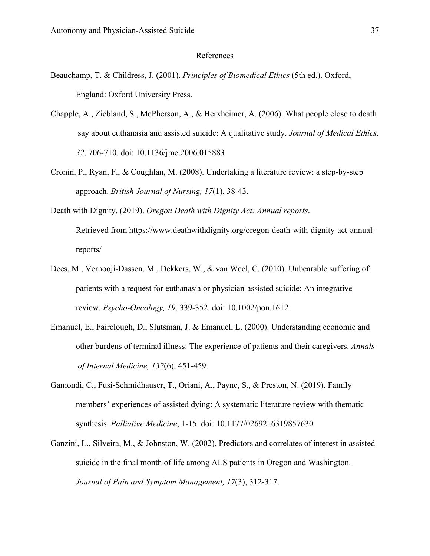#### References

- Beauchamp, T. & Childress, J. (2001). *Principles of Biomedical Ethics* (5th ed.). Oxford, England: Oxford University Press.
- Chapple, A., Ziebland, S., McPherson, A., & Herxheimer, A. (2006). What people close to death say about euthanasia and assisted suicide: A qualitative study. *Journal of Medical Ethics, 32*, 706-710. doi: 10.1136/jme.2006.015883
- Cronin, P., Ryan, F., & Coughlan, M. (2008). Undertaking a literature review: a step-by-step approach. *British Journal of Nursing, 17*(1), 38-43.

Death with Dignity. (2019). *Oregon Death with Dignity Act: Annual reports*. Retrieved from https://www.deathwithdignity.org/oregon-death-with-dignity-act-annual-

reports/

- Dees, M., Vernooji-Dassen, M., Dekkers, W., & van Weel, C. (2010). Unbearable suffering of patients with a request for euthanasia or physician-assisted suicide: An integrative review. *Psycho-Oncology, 19*, 339-352. doi: 10.1002/pon.1612
- Emanuel, E., Fairclough, D., Slutsman, J. & Emanuel, L. (2000). Understanding economic and other burdens of terminal illness: The experience of patients and their caregivers. *Annals of Internal Medicine, 132*(6), 451-459.
- Gamondi, C., Fusi-Schmidhauser, T., Oriani, A., Payne, S., & Preston, N. (2019). Family members' experiences of assisted dying: A systematic literature review with thematic synthesis. *Palliative Medicine*, 1-15. doi: 10.1177/0269216319857630
- Ganzini, L., Silveira, M., & Johnston, W. (2002). Predictors and correlates of interest in assisted suicide in the final month of life among ALS patients in Oregon and Washington. *Journal of Pain and Symptom Management, 17*(3), 312-317.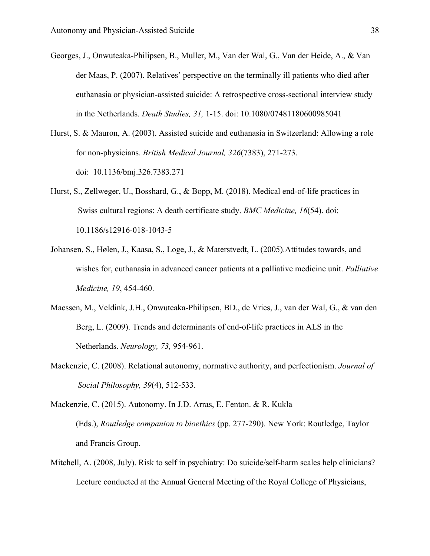- Georges, J., Onwuteaka-Philipsen, B., Muller, M., Van der Wal, G., Van der Heide, A., & Van der Maas, P. (2007). Relatives' perspective on the terminally ill patients who died after euthanasia or physician-assisted suicide: A retrospective cross-sectional interview study in the Netherlands. *Death Studies, 31,* 1-15. doi: 10.1080/07481180600985041
- Hurst, S. & Mauron, A. (2003). Assisted suicide and euthanasia in Switzerland: Allowing a role for non-physicians. *British Medical Journal, 326*(7383), 271-273. doi: 10.1136/bmj.326.7383.271
- Hurst, S., Zellweger, U., Bosshard, G., & Bopp, M. (2018). Medical end-of-life practices in Swiss cultural regions: A death certificate study. *BMC Medicine, 16*(54). doi: 10.1186/s12916-018-1043-5
- Johansen, S., Hølen, J., Kaasa, S., Loge, J., & Materstvedt, L. (2005).Attitudes towards, and wishes for, euthanasia in advanced cancer patients at a palliative medicine unit. *Palliative Medicine, 19*, 454-460.
- Maessen, M., Veldink, J.H., Onwuteaka-Philipsen, BD., de Vries, J., van der Wal, G., & van den Berg, L. (2009). Trends and determinants of end-of-life practices in ALS in the Netherlands. *Neurology, 73,* 954-961.
- Mackenzie, C. (2008). Relational autonomy, normative authority, and perfectionism. *Journal of Social Philosophy, 39*(4), 512-533.
- Mackenzie, C. (2015). Autonomy. In J.D. Arras, E. Fenton. & R. Kukla (Eds.), *Routledge companion to bioethics* (pp. 277-290). New York: Routledge, Taylor and Francis Group.
- Mitchell, A. (2008, July). Risk to self in psychiatry: Do suicide/self-harm scales help clinicians? Lecture conducted at the Annual General Meeting of the Royal College of Physicians,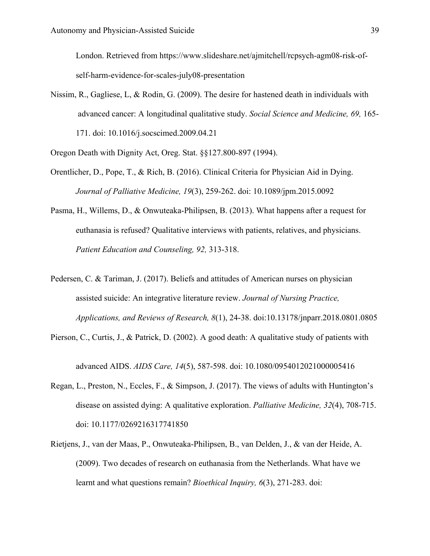London. Retrieved from https://www.slideshare.net/ajmitchell/rcpsych-agm08-risk-ofself-harm-evidence-for-scales-july08-presentation

Nissim, R., Gagliese, L, & Rodin, G. (2009). The desire for hastened death in individuals with advanced cancer: A longitudinal qualitative study. *Social Science and Medicine, 69,* 165- 171. doi: 10.1016/j.socscimed.2009.04.21

Oregon Death with Dignity Act, Oreg. Stat. §§127.800-897 (1994).

- Orentlicher, D., Pope, T., & Rich, B. (2016). Clinical Criteria for Physician Aid in Dying. *Journal of Palliative Medicine, 19*(3), 259-262. doi: 10.1089/jpm.2015.0092
- Pasma, H., Willems, D., & Onwuteaka-Philipsen, B. (2013). What happens after a request for euthanasia is refused? Qualitative interviews with patients, relatives, and physicians. *Patient Education and Counseling, 92,* 313-318.
- Pedersen, C. & Tariman, J. (2017). Beliefs and attitudes of American nurses on physician assisted suicide: An integrative literature review. *Journal of Nursing Practice, Applications, and Reviews of Research, 8*(1), 24-38. doi:10.13178/jnparr.2018.0801.0805
- Pierson, C., Curtis, J., & Patrick, D. (2002). A good death: A qualitative study of patients with

advanced AIDS. *AIDS Care, 14*(5), 587-598. doi: 10.1080/0954012021000005416

- Regan, L., Preston, N., Eccles, F., & Simpson, J. (2017). The views of adults with Huntington's disease on assisted dying: A qualitative exploration. *Palliative Medicine, 32*(4), 708-715. doi: 10.1177/0269216317741850
- Rietjens, J., van der Maas, P., Onwuteaka-Philipsen, B., van Delden, J., & van der Heide, A. (2009). Two decades of research on euthanasia from the Netherlands. What have we learnt and what questions remain? *Bioethical Inquiry, 6*(3), 271-283. doi: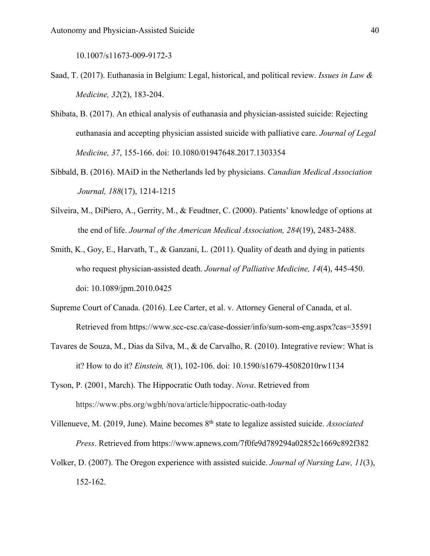10.1007/s11673-009-9172-3

- Saad, T. (2017). Euthanasia in Belgium: Legal, historical, and political review. *Issues in Law & Medicine, 32*(2), 183-204.
- Shibata, B. (2017). An ethical analysis of euthanasia and physician-assisted suicide: Rejecting euthanasia and accepting physician assisted suicide with palliative care. *Journal of Legal Medicine, 37*, 155-166. doi: 10.1080/01947648.2017.1303354
- Sibbald, B. (2016). MAiD in the Netherlands led by physicians. *Canadian Medical Association Journal, 188*(17), 1214-1215
- Silveira, M., DiPiero, A., Gerrity, M., & Feudtner, C. (2000). Patients' knowledge of options at the end of life. *Journal of the American Medical Association, 284*(19), 2483-2488.
- Smith, K., Goy, E., Harvath, T., & Ganzani, L. (2011). Quality of death and dying in patients who request physician-assisted death. *Journal of Palliative Medicine, 14*(4), 445-450. doi: 10.1089/jpm.2010.0425
- Supreme Court of Canada. (2016). Lee Carter, et al. v. Attorney General of Canada, et al. Retrieved from https://www.scc-csc.ca/case-dossier/info/sum-som-eng.aspx?cas=35591
- Tavares de Souza, M., Dias da Silva, M., & de Carvalho, R. (2010). Integrative review: What is it? How to do it? *Einstein, 8*(1), 102-106. doi: 10.1590/s1679-45082010rw1134
- Tyson, P. (2001, March). The Hippocratic Oath today. *Nova*. Retrieved from https://www.pbs.org/wgbh/nova/article/hippocratic-oath-today

Villenueve, M. (2019, June). Maine becomes 8th state to legalize assisted suicide. *Associated Press*. Retrieved from https://www.apnews.com/7f0fe9d789294a02852c1669c892f382

Volker, D. (2007). The Oregon experience with assisted suicide. *Journal of Nursing Law, 11*(3), 152-162.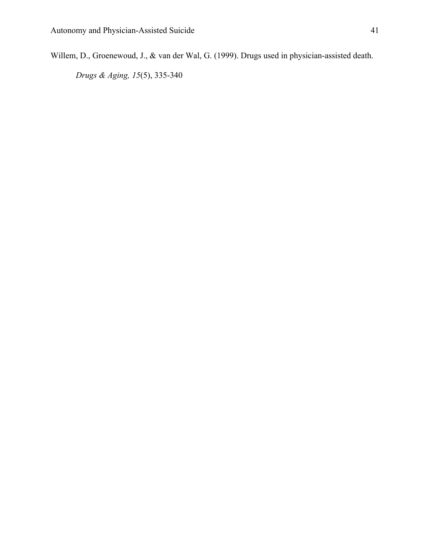Willem, D., Groenewoud, J., & van der Wal, G. (1999). Drugs used in physician-assisted death.

*Drugs & Aging, 15*(5), 335-340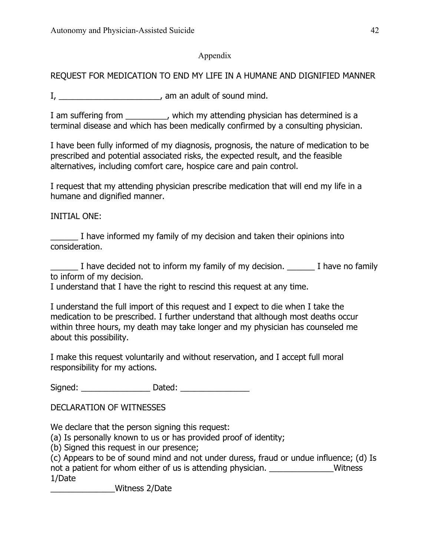### Appendix

### REQUEST FOR MEDICATION TO END MY LIFE IN A HUMANE AND DIGNIFIED MANNER

 $I, \underline{\hspace{1cm}}$  am an adult of sound mind.

I am suffering from \_\_\_\_\_\_\_\_, which my attending physician has determined is a terminal disease and which has been medically confirmed by a consulting physician.

I have been fully informed of my diagnosis, prognosis, the nature of medication to be prescribed and potential associated risks, the expected result, and the feasible alternatives, including comfort care, hospice care and pain control.

I request that my attending physician prescribe medication that will end my life in a humane and dignified manner.

INITIAL ONE:

I have informed my family of my decision and taken their opinions into consideration.

I have decided not to inform my family of my decision. I have no family to inform of my decision.

I understand that I have the right to rescind this request at any time.

I understand the full import of this request and I expect to die when I take the medication to be prescribed. I further understand that although most deaths occur within three hours, my death may take longer and my physician has counseled me about this possibility.

I make this request voluntarily and without reservation, and I accept full moral responsibility for my actions.

Signed: \_\_\_\_\_\_\_\_\_\_\_\_\_\_\_ Dated: \_\_\_\_\_\_\_\_\_\_\_\_\_\_\_

DECLARATION OF WITNESSES

We declare that the person signing this request:

(a) Is personally known to us or has provided proof of identity;

(b) Signed this request in our presence;

(c) Appears to be of sound mind and not under duress, fraud or undue influence; (d) Is not a patient for whom either of us is attending physician. The matter of the Witness 1/Date

\_\_\_\_\_\_\_\_\_\_\_\_\_\_Witness 2/Date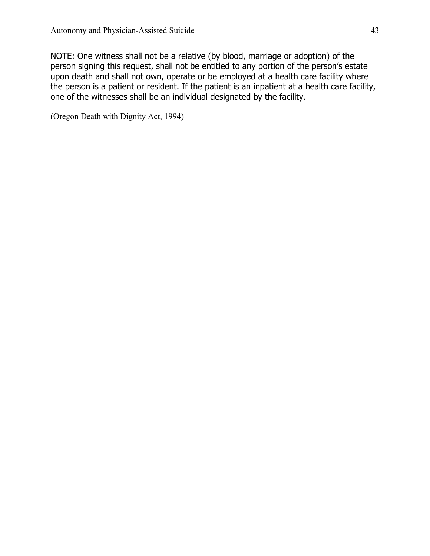NOTE: One witness shall not be a relative (by blood, marriage or adoption) of the person signing this request, shall not be entitled to any portion of the person's estate upon death and shall not own, operate or be employed at a health care facility where the person is a patient or resident. If the patient is an inpatient at a health care facility, one of the witnesses shall be an individual designated by the facility.

(Oregon Death with Dignity Act, 1994)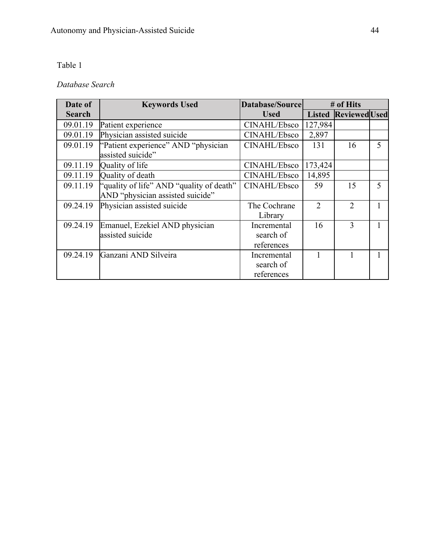### Table 1

# *Database Search*

| Date of       | <b>Keywords Used</b>                     | Database/Source |               | # of Hits            |                          |
|---------------|------------------------------------------|-----------------|---------------|----------------------|--------------------------|
| <b>Search</b> |                                          | <b>Used</b>     | <b>Listed</b> | <b>Reviewed</b> Used |                          |
| 09.01.19      | Patient experience                       | CINAHL/Ebsco    | 127,984       |                      |                          |
| 09.01.19      | Physician assisted suicide               | CINAHL/Ebsco    | 2,897         |                      |                          |
| 09.01.19      | "Patient experience" AND "physician"     | CINAHL/Ebsco    | 131           | 16                   | 5                        |
|               | assisted suicide"                        |                 |               |                      |                          |
| 09.11.19      | Quality of life                          | CINAHL/Ebsco    | 173,424       |                      |                          |
| 09.11.19      | Quality of death                         | CINAHL/Ebsco    | 14,895        |                      |                          |
| 09.11.19      | "quality of life" AND "quality of death" | CINAHL/Ebsco    | 59            | 15                   | $\overline{\mathcal{L}}$ |
|               | AND "physician assisted suicide"         |                 |               |                      |                          |
| 09.24.19      | Physician assisted suicide               | The Cochrane    | $\mathcal{D}$ | 2                    |                          |
|               |                                          | Library         |               |                      |                          |
| 09.24.19      | Emanuel, Ezekiel AND physician           | Incremental     | 16            | 3                    |                          |
|               | assisted suicide                         | search of       |               |                      |                          |
|               |                                          | references      |               |                      |                          |
| 09.24.19      | Ganzani AND Silveira                     | Incremental     |               |                      |                          |
|               |                                          | search of       |               |                      |                          |
|               |                                          | references      |               |                      |                          |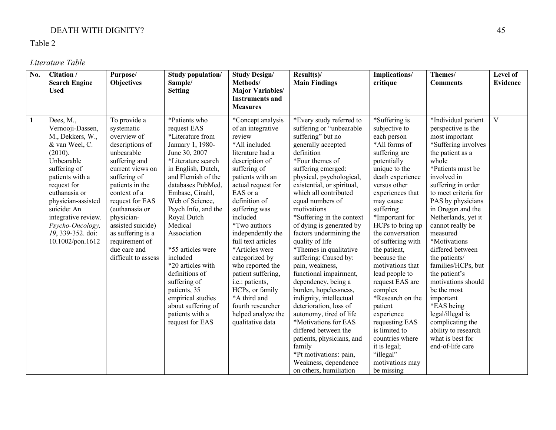### DEATH WITH DIGNITY? 45

Table 2

*Literature Table*

| No.          | Citation /<br><b>Search Engine</b>                                                                                                                                                                                                                                                       | Purpose/<br><b>Objectives</b>                                                                                                                                                                                                                                                                                            | Study population/<br>Sample/                                                                                                                                                                                                                                                                                                                                                                                                                                                | <b>Study Design/</b><br>Methods/                                                                                                                                                                                                                                                                                                                                                                                                                                                          | Result(s)<br><b>Main Findings</b>                                                                                                                                                                                                                                                                                                                                                                                                                                                                                                                                                                                                                                                                                                                                                      | Implications/<br>critique                                                                                                                                                                                                                                                                                                                                                                                                                                                                                                                            | Themes/<br><b>Comments</b>                                                                                                                                                                                                                                                                                                                                                                                                                                                                                                                                            | Level of<br><b>Evidence</b> |
|--------------|------------------------------------------------------------------------------------------------------------------------------------------------------------------------------------------------------------------------------------------------------------------------------------------|--------------------------------------------------------------------------------------------------------------------------------------------------------------------------------------------------------------------------------------------------------------------------------------------------------------------------|-----------------------------------------------------------------------------------------------------------------------------------------------------------------------------------------------------------------------------------------------------------------------------------------------------------------------------------------------------------------------------------------------------------------------------------------------------------------------------|-------------------------------------------------------------------------------------------------------------------------------------------------------------------------------------------------------------------------------------------------------------------------------------------------------------------------------------------------------------------------------------------------------------------------------------------------------------------------------------------|----------------------------------------------------------------------------------------------------------------------------------------------------------------------------------------------------------------------------------------------------------------------------------------------------------------------------------------------------------------------------------------------------------------------------------------------------------------------------------------------------------------------------------------------------------------------------------------------------------------------------------------------------------------------------------------------------------------------------------------------------------------------------------------|------------------------------------------------------------------------------------------------------------------------------------------------------------------------------------------------------------------------------------------------------------------------------------------------------------------------------------------------------------------------------------------------------------------------------------------------------------------------------------------------------------------------------------------------------|-----------------------------------------------------------------------------------------------------------------------------------------------------------------------------------------------------------------------------------------------------------------------------------------------------------------------------------------------------------------------------------------------------------------------------------------------------------------------------------------------------------------------------------------------------------------------|-----------------------------|
|              | <b>Used</b>                                                                                                                                                                                                                                                                              |                                                                                                                                                                                                                                                                                                                          | <b>Setting</b>                                                                                                                                                                                                                                                                                                                                                                                                                                                              | <b>Major Variables/</b><br><b>Instruments and</b><br><b>Measures</b>                                                                                                                                                                                                                                                                                                                                                                                                                      |                                                                                                                                                                                                                                                                                                                                                                                                                                                                                                                                                                                                                                                                                                                                                                                        |                                                                                                                                                                                                                                                                                                                                                                                                                                                                                                                                                      |                                                                                                                                                                                                                                                                                                                                                                                                                                                                                                                                                                       |                             |
| $\mathbf{1}$ | Dees, M.,<br>Vernooji-Dassen,<br>M., Dekkers, W.,<br>& van Weel, C.<br>(2010).<br>Unbearable<br>suffering of<br>patients with a<br>request for<br>euthanasia or<br>physician-assisted<br>suicide: An<br>integrative review.<br>Psycho-Oncology,<br>19, 339-352. doi:<br>10.1002/pon.1612 | To provide a<br>systematic<br>overview of<br>descriptions of<br>unbearable<br>suffering and<br>current views on<br>suffering of<br>patients in the<br>context of a<br>request for EAS<br>(euthanasia or<br>physician-<br>assisted suicide)<br>as suffering is a<br>requirement of<br>due care and<br>difficult to assess | *Patients who<br>request EAS<br>*Literature from<br>January 1, 1980-<br>June 30, 2007<br>*Literature search<br>in English, Dutch,<br>and Flemish of the<br>databases PubMed,<br>Embase, Cinahl,<br>Web of Science,<br>Psych Info, and the<br>Royal Dutch<br>Medical<br>Association<br>*55 articles were<br>included<br>*20 articles with<br>definitions of<br>suffering of<br>patients, 35<br>empirical studies<br>about suffering of<br>patients with a<br>request for EAS | *Concept analysis<br>of an integrative<br>review<br>*All included<br>literature had a<br>description of<br>suffering of<br>patients with an<br>actual request for<br>EAS or a<br>definition of<br>suffering was<br>included<br>*Two authors<br>independently the<br>full text articles<br>*Articles were<br>categorized by<br>who reported the<br>patient suffering,<br>i.e.: patients,<br>HCPs, or family<br>*A third and<br>fourth researcher<br>helped analyze the<br>qualitative data | *Every study referred to<br>suffering or "unbearable<br>suffering" but no<br>generally accepted<br>definition<br>*Four themes of<br>suffering emerged:<br>physical, psychological,<br>existential, or spiritual,<br>which all contributed<br>equal numbers of<br>motivations<br>*Suffering in the context<br>of dying is generated by<br>factors undermining the<br>quality of life<br>*Themes in qualitative<br>suffering: Caused by:<br>pain, weakness,<br>functional impairment,<br>dependency, being a<br>burden, hopelessness,<br>indignity, intellectual<br>deterioration, loss of<br>autonomy, tired of life<br>*Motivations for EAS<br>differed between the<br>patients, physicians, and<br>family<br>*Pt motivations: pain,<br>Weakness, dependence<br>on others, humiliation | *Suffering is<br>subjective to<br>each person<br>*All forms of<br>suffering are<br>potentially<br>unique to the<br>death experience<br>versus other<br>experiences that<br>may cause<br>suffering<br>*Important for<br>HCPs to bring up<br>the conversation<br>of suffering with<br>the patient,<br>because the<br>motivations that<br>lead people to<br>request EAS are<br>complex<br>*Research on the<br>patient<br>experience<br>requesting EAS<br>is limited to<br>countries where<br>it is legal;<br>"illegal"<br>motivations may<br>be missing | *Individual patient<br>perspective is the<br>most important<br>*Suffering involves<br>the patient as a<br>whole<br>*Patients must be<br>involved in<br>suffering in order<br>to meet criteria for<br>PAS by physicians<br>in Oregon and the<br>Netherlands, yet it<br>cannot really be<br>measured<br>*Motivations<br>differed between<br>the patients/<br>families/HCPs, but<br>the patient's<br>motivations should<br>be the most<br>important<br>*EAS being<br>legal/illegal is<br>complicating the<br>ability to research<br>what is best for<br>end-of-life care | V                           |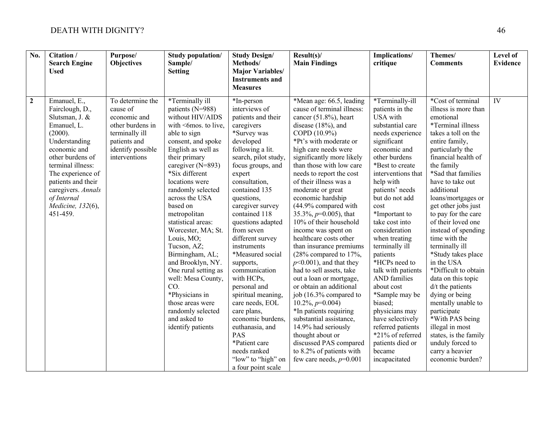| No.          | Citation /<br><b>Search Engine</b><br><b>Used</b>                                                                                                                                                                                                                      | Purpose/<br><b>Objectives</b>                                                                                                            | <b>Study population/</b><br>Sample/<br><b>Setting</b>                                                                                                                                                                                                                                                                                                                                                                                                                                                                                                          | <b>Study Design/</b><br>Methods/<br><b>Major Variables/</b><br><b>Instruments and</b><br><b>Measures</b>                                                                                                                                                                                                                                                                                                                                                                                                                                                                                              | Result(s)<br><b>Main Findings</b>                                                                                                                                                                                                                                                                                                                                                                                                                                                                                                                                                                                                                                                                                                                                                                                                                                                   | Implications/<br>critique                                                                                                                                                                                                                                                                                                                                                                                                                                                                                                                                                    | Themes/<br><b>Comments</b>                                                                                                                                                                                                                                                                                                                                                                                                                                                                                                                                                                                                                                                         | Level of<br><b>Evidence</b> |
|--------------|------------------------------------------------------------------------------------------------------------------------------------------------------------------------------------------------------------------------------------------------------------------------|------------------------------------------------------------------------------------------------------------------------------------------|----------------------------------------------------------------------------------------------------------------------------------------------------------------------------------------------------------------------------------------------------------------------------------------------------------------------------------------------------------------------------------------------------------------------------------------------------------------------------------------------------------------------------------------------------------------|-------------------------------------------------------------------------------------------------------------------------------------------------------------------------------------------------------------------------------------------------------------------------------------------------------------------------------------------------------------------------------------------------------------------------------------------------------------------------------------------------------------------------------------------------------------------------------------------------------|-------------------------------------------------------------------------------------------------------------------------------------------------------------------------------------------------------------------------------------------------------------------------------------------------------------------------------------------------------------------------------------------------------------------------------------------------------------------------------------------------------------------------------------------------------------------------------------------------------------------------------------------------------------------------------------------------------------------------------------------------------------------------------------------------------------------------------------------------------------------------------------|------------------------------------------------------------------------------------------------------------------------------------------------------------------------------------------------------------------------------------------------------------------------------------------------------------------------------------------------------------------------------------------------------------------------------------------------------------------------------------------------------------------------------------------------------------------------------|------------------------------------------------------------------------------------------------------------------------------------------------------------------------------------------------------------------------------------------------------------------------------------------------------------------------------------------------------------------------------------------------------------------------------------------------------------------------------------------------------------------------------------------------------------------------------------------------------------------------------------------------------------------------------------|-----------------------------|
| $\mathbf{2}$ | Emanuel, E.,<br>Fairclough, D.,<br>Slutsman, J. &<br>Emanuel, L.<br>(2000).<br>Understanding<br>economic and<br>other burdens of<br>terminal illness:<br>The experience of<br>patients and their<br>caregivers. Annals<br>of Internal<br>Medicine, 132(6),<br>451-459. | To determine the<br>cause of<br>economic and<br>other burdens in<br>terminally ill<br>patients and<br>identify possible<br>interventions | *Terminally ill<br>patients (N=988)<br>without HIV/AIDS<br>with <6mos. to live,<br>able to sign<br>consent, and spoke<br>English as well as<br>their primary<br>caregiver (N=893)<br>*Six different<br>locations were<br>randomly selected<br>across the USA<br>based on<br>metropolitan<br>statistical areas:<br>Worcester, MA; St.<br>Louis, MO;<br>Tucson, AZ;<br>Birmingham, AL;<br>and Brooklyn, NY.<br>One rural setting as<br>well: Mesa County,<br>CO.<br>*Physicians in<br>those areas were<br>randomly selected<br>and asked to<br>identify patients | *In-person<br>interviews of<br>patients and their<br>caregivers<br>*Survey was<br>developed<br>following a lit.<br>search, pilot study,<br>focus groups, and<br>expert<br>consultation,<br>contained 135<br>questions,<br>caregiver survey<br>contained 118<br>questions adapted<br>from seven<br>different survey<br>instruments<br>*Measured social<br>supports,<br>communication<br>with HCPs,<br>personal and<br>spiritual meaning,<br>care needs, EOL<br>care plans,<br>economic burdens,<br>euthanasia, and<br>PAS<br>*Patient care<br>needs ranked<br>"low" to "high" on<br>a four point scale | *Mean age: 66.5, leading<br>cause of terminal illness:<br>cancer $(51.8\%)$ , heart<br>disease $(18%)$ , and<br>COPD (10.9%)<br>*Pt's with moderate or<br>high care needs were<br>significantly more likely<br>than those with low care<br>needs to report the cost<br>of their illness was a<br>moderate or great<br>economic hardship<br>(44.9% compared with<br>35.3%, $p=0.005$ ), that<br>10% of their household<br>income was spent on<br>healthcare costs other<br>than insurance premiums<br>$(28\%$ compared to $17\%$ ,<br>$p<0.001$ ), and that they<br>had to sell assets, take<br>out a loan or mortgage,<br>or obtain an additional<br>job (16.3% compared to<br>$10.2\%, p=0.004$<br>*In patients requiring<br>substantial assistance,<br>14.9% had seriously<br>thought about or<br>discussed PAS compared<br>to 8.2% of patients with<br>few care needs, $p=0.001$ | *Terminally-ill<br>patients in the<br>USA with<br>substantial care<br>needs experience<br>significant<br>economic and<br>other burdens<br>*Best to create<br>interventions that<br>help with<br>patients' needs<br>but do not add<br>cost<br>*Important to<br>take cost into<br>consideration<br>when treating<br>terminally ill<br>patients<br>*HCPs need to<br>talk with patients<br>AND families<br>about cost<br>*Sample may be<br>biased;<br>physicians may<br>have selectively<br>referred patients<br>*21% of referred<br>patients died or<br>became<br>incapacitated | *Cost of terminal<br>illness is more than<br>emotional<br>*Terminal illness<br>takes a toll on the<br>entire family,<br>particularly the<br>financial health of<br>the family<br>*Sad that families<br>have to take out<br>additional<br>loans/mortgages or<br>get other jobs just<br>to pay for the care<br>of their loved one<br>instead of spending<br>time with the<br>terminally ill<br>*Study takes place<br>in the USA<br>*Difficult to obtain<br>data on this topic<br>$d/t$ the patients<br>dying or being<br>mentally unable to<br>participate<br>*With PAS being<br>illegal in most<br>states, is the family<br>unduly forced to<br>carry a heavier<br>economic burden? | $\overline{\rm IV}$         |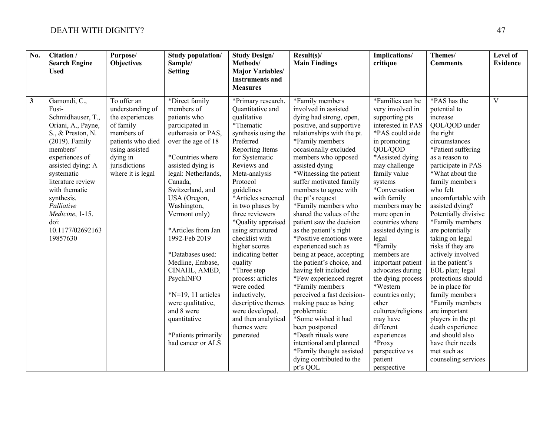| $\overline{No.}$ | Citation /<br><b>Search Engine</b><br><b>Used</b>                                                                                                                                                                                                                                                        | Purpose/<br><b>Objectives</b>                                                                                                                                          | Study population/<br>Sample/<br><b>Setting</b>                                                                                                                                                                                                                                                                                                                                                                                                                                                 | <b>Study Design/</b><br>Methods/<br><b>Major Variables/</b><br><b>Instruments and</b>                                                                                                                                                                                                                                                                                                                                                                                                                                                                            | Result(s)<br><b>Main Findings</b>                                                                                                                                                                                                                                                                                                                                                                                                                                                                                                                                                                                                                                                                                                                                               | Implications/<br>critique                                                                                                                                                                                                                                                                                                                                                                                                                                                                                           | Themes/<br><b>Comments</b>                                                                                                                                                                                                                                                                                                                                                                                                                                                                                                                                                                       | Level of<br><b>Evidence</b> |
|------------------|----------------------------------------------------------------------------------------------------------------------------------------------------------------------------------------------------------------------------------------------------------------------------------------------------------|------------------------------------------------------------------------------------------------------------------------------------------------------------------------|------------------------------------------------------------------------------------------------------------------------------------------------------------------------------------------------------------------------------------------------------------------------------------------------------------------------------------------------------------------------------------------------------------------------------------------------------------------------------------------------|------------------------------------------------------------------------------------------------------------------------------------------------------------------------------------------------------------------------------------------------------------------------------------------------------------------------------------------------------------------------------------------------------------------------------------------------------------------------------------------------------------------------------------------------------------------|---------------------------------------------------------------------------------------------------------------------------------------------------------------------------------------------------------------------------------------------------------------------------------------------------------------------------------------------------------------------------------------------------------------------------------------------------------------------------------------------------------------------------------------------------------------------------------------------------------------------------------------------------------------------------------------------------------------------------------------------------------------------------------|---------------------------------------------------------------------------------------------------------------------------------------------------------------------------------------------------------------------------------------------------------------------------------------------------------------------------------------------------------------------------------------------------------------------------------------------------------------------------------------------------------------------|--------------------------------------------------------------------------------------------------------------------------------------------------------------------------------------------------------------------------------------------------------------------------------------------------------------------------------------------------------------------------------------------------------------------------------------------------------------------------------------------------------------------------------------------------------------------------------------------------|-----------------------------|
| $\mathbf{3}$     | Gamondi, C.,<br>Fusi-<br>Schmidhauser, T.,<br>Oriani, A., Payne,<br>S., & Preston, N.<br>$(2019)$ . Family<br>members'<br>experiences of<br>assisted dying: A<br>systematic<br>literature review<br>with thematic<br>synthesis.<br>Palliative<br>Medicine, 1-15.<br>doi:<br>10.1177/02692163<br>19857630 | To offer an<br>understanding of<br>the experiences<br>of family<br>members of<br>patients who died<br>using assisted<br>dying in<br>jurisdictions<br>where it is legal | *Direct family<br>members of<br>patients who<br>participated in<br>euthanasia or PAS,<br>over the age of 18<br>*Countries where<br>assisted dying is<br>legal: Netherlands,<br>Canada,<br>Switzerland, and<br>USA (Oregon,<br>Washington,<br>Vermont only)<br>*Articles from Jan<br>1992-Feb 2019<br>*Databases used:<br>Medline, Embase,<br>CINAHL, AMED,<br>PsychINFO<br>$N=19$ , 11 articles<br>were qualitative,<br>and 8 were<br>quantitative<br>*Patients primarily<br>had cancer or ALS | <b>Measures</b><br>*Primary research.<br>Quantitative and<br>qualitative<br>*Thematic<br>synthesis using the<br>Preferred<br>Reporting Items<br>for Systematic<br>Reviews and<br>Meta-analysis<br>Protocol<br>guidelines<br>*Articles screened<br>in two phases by<br>three reviewers<br>*Quality appraised<br>using structured<br>checklist with<br>higher scores<br>indicating better<br>quality<br>*Three step<br>process: articles<br>were coded<br>inductively,<br>descriptive themes<br>were developed,<br>and then analytical<br>themes were<br>generated | *Family members<br>involved in assisted<br>dying had strong, open,<br>positive, and supportive<br>relationships with the pt.<br>*Family members<br>occasionally excluded<br>members who opposed<br>assisted dying<br>*Witnessing the patient<br>suffer motivated family<br>members to agree with<br>the pt's request<br>*Family members who<br>shared the values of the<br>patient saw the decision<br>as the patient's right<br>*Positive emotions were<br>experienced such as<br>being at peace, accepting<br>the patient's choice, and<br>having felt included<br>*Few experienced regret<br>*Family members<br>perceived a fast decision-<br>making pace as being<br>problematic<br>*Some wished it had<br>been postponed<br>*Death rituals were<br>intentional and planned | *Families can be<br>very involved in<br>supporting pts<br>interested in PAS<br>*PAS could aide<br>in promoting<br>QOL/QOD<br>*Assisted dying<br>may challenge<br>family value<br>systems<br>*Conversation<br>with family<br>members may be<br>more open in<br>countries where<br>assisted dying is<br>legal<br>*Family<br>members are<br>important patient<br>advocates during<br>the dying process<br>*Western<br>countries only;<br>other<br>cultures/religions<br>may have<br>different<br>experiences<br>*Proxy | *PAS has the<br>potential to<br>increase<br>QOL/QOD under<br>the right<br>circumstances<br>*Patient suffering<br>as a reason to<br>participate in PAS<br>*What about the<br>family members<br>who felt<br>uncomfortable with<br>assisted dying?<br>Potentially divisive<br>*Family members<br>are potentially<br>taking on legal<br>risks if they are<br>actively involved<br>in the patient's<br>EOL plan; legal<br>protections should<br>be in place for<br>family members<br>*Family members<br>are important<br>players in the pt<br>death experience<br>and should also<br>have their needs | $\overline{\mathbf{V}}$     |
|                  |                                                                                                                                                                                                                                                                                                          |                                                                                                                                                                        |                                                                                                                                                                                                                                                                                                                                                                                                                                                                                                |                                                                                                                                                                                                                                                                                                                                                                                                                                                                                                                                                                  | *Family thought assisted<br>dying contributed to the<br>pt's QOL                                                                                                                                                                                                                                                                                                                                                                                                                                                                                                                                                                                                                                                                                                                | perspective vs<br>patient<br>perspective                                                                                                                                                                                                                                                                                                                                                                                                                                                                            | met such as<br>counseling services                                                                                                                                                                                                                                                                                                                                                                                                                                                                                                                                                               |                             |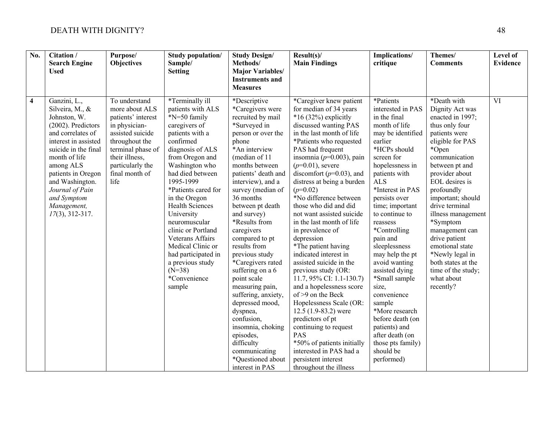| No. | Citation /<br><b>Search Engine</b><br><b>Used</b>                                                                                                                                                                                                                                        | Purpose/<br><b>Objectives</b>                                                                                                                                                                     | <b>Study population/</b><br>Sample/<br><b>Setting</b>                                                                                                                                                                                                                                                                                                                                                                                            | <b>Study Design/</b><br>Methods/<br><b>Major Variables/</b><br><b>Instruments and</b><br><b>Measures</b>                                                                                                                                                                                                                                                                                                                                                                                                                                                                                                             | Result(s)<br><b>Main Findings</b>                                                                                                                                                                                                                                                                                                                                                                                                                                                                                                                                                                                                                                                                                                                                                                                                                                      | Implications/<br>critique                                                                                                                                                                                                                                                                                                                                                                                                                                                                                                                             | Themes/<br><b>Comments</b>                                                                                                                                                                                                                                                                                                                                                                                                       | Level of<br><b>Evidence</b> |
|-----|------------------------------------------------------------------------------------------------------------------------------------------------------------------------------------------------------------------------------------------------------------------------------------------|---------------------------------------------------------------------------------------------------------------------------------------------------------------------------------------------------|--------------------------------------------------------------------------------------------------------------------------------------------------------------------------------------------------------------------------------------------------------------------------------------------------------------------------------------------------------------------------------------------------------------------------------------------------|----------------------------------------------------------------------------------------------------------------------------------------------------------------------------------------------------------------------------------------------------------------------------------------------------------------------------------------------------------------------------------------------------------------------------------------------------------------------------------------------------------------------------------------------------------------------------------------------------------------------|------------------------------------------------------------------------------------------------------------------------------------------------------------------------------------------------------------------------------------------------------------------------------------------------------------------------------------------------------------------------------------------------------------------------------------------------------------------------------------------------------------------------------------------------------------------------------------------------------------------------------------------------------------------------------------------------------------------------------------------------------------------------------------------------------------------------------------------------------------------------|-------------------------------------------------------------------------------------------------------------------------------------------------------------------------------------------------------------------------------------------------------------------------------------------------------------------------------------------------------------------------------------------------------------------------------------------------------------------------------------------------------------------------------------------------------|----------------------------------------------------------------------------------------------------------------------------------------------------------------------------------------------------------------------------------------------------------------------------------------------------------------------------------------------------------------------------------------------------------------------------------|-----------------------------|
| 4   | Ganzini, L.,<br>Silveira, M., &<br>Johnston, W.<br>(2002). Predictors<br>and correlates of<br>interest in assisted<br>suicide in the final<br>month of life<br>among ALS<br>patients in Oregon<br>and Washington.<br>Journal of Pain<br>and Symptom<br>Management,<br>$17(3)$ , 312-317. | To understand<br>more about ALS<br>patients' interest<br>in physician-<br>assisted suicide<br>throughout the<br>terminal phase of<br>their illness,<br>particularly the<br>final month of<br>life | *Terminally ill<br>patients with ALS<br>*N=50 family<br>caregivers of<br>patients with a<br>confirmed<br>diagnosis of ALS<br>from Oregon and<br>Washington who<br>had died between<br>1995-1999<br>*Patients cared for<br>in the Oregon<br><b>Health Sciences</b><br>University<br>neuromuscular<br>clinic or Portland<br>Veterans Affairs<br>Medical Clinic or<br>had participated in<br>a previous study<br>$(N=38)$<br>*Convenience<br>sample | *Descriptive<br>*Caregivers were<br>recruited by mail<br>*Surveyed in<br>person or over the<br>phone<br>*An interview<br>(median of 11<br>months between<br>patients' death and<br>interview), and a<br>survey (median of<br>36 months<br>between pt death<br>and survey)<br>*Results from<br>caregivers<br>compared to pt<br>results from<br>previous study<br>*Caregivers rated<br>suffering on a 6<br>point scale<br>measuring pain,<br>suffering, anxiety,<br>depressed mood,<br>dyspnea,<br>confusion,<br>insomnia, choking<br>episodes,<br>difficulty<br>communicating<br>*Questioned about<br>interest in PAS | *Caregiver knew patient<br>for median of 34 years<br>$*16(32%)$ explicitly<br>discussed wanting PAS<br>in the last month of life<br>*Patients who requested<br>PAS had frequent<br>insomnia ( $p=0.003$ ), pain<br>$(p=0.01)$ , severe<br>discomfort ( $p=0.03$ ), and<br>distress at being a burden<br>$(p=0.02)$<br>*No difference between<br>those who did and did<br>not want assisted suicide<br>in the last month of life<br>in prevalence of<br>depression<br>*The patient having<br>indicated interest in<br>assisted suicide in the<br>previous study (OR:<br>11.7, $95\%$ CI: 1.1-130.7)<br>and a hopelessness score<br>of >9 on the Beck<br>Hopelessness Scale (OR:<br>12.5 $(1.9-83.2)$ were<br>predictors of pt<br>continuing to request<br>PAS<br>*50% of patients initially<br>interested in PAS had a<br>persistent interest<br>throughout the illness | *Patients<br>interested in PAS<br>in the final<br>month of life<br>may be identified<br>earlier<br>*HCPs should<br>screen for<br>hopelessness in<br>patients with<br><b>ALS</b><br>*Interest in PAS<br>persists over<br>time; important<br>to continue to<br>reassess<br>*Controlling<br>pain and<br>sleeplessness<br>may help the pt<br>avoid wanting<br>assisted dying<br>*Small sample<br>size,<br>convenience<br>sample<br>*More research<br>before death (on<br>patients) and<br>after death (on<br>those pts family)<br>should be<br>performed) | *Death with<br>Dignity Act was<br>enacted in 1997;<br>thus only four<br>patients were<br>eligible for PAS<br>*Open<br>communication<br>between pt and<br>provider about<br>EOL desires is<br>profoundly<br>important; should<br>drive terminal<br>illness management<br>*Symptom<br>management can<br>drive patient<br>emotional state<br>*Newly legal in<br>both states at the<br>time of the study;<br>what about<br>recently? | $\overline{\text{VI}}$      |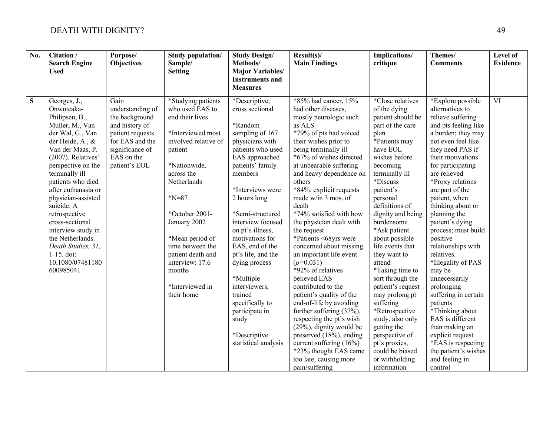| No. | Citation /<br><b>Search Engine</b><br><b>Used</b>                                                                                                                                                                                                                                                                                                                                                                              | Purpose/<br><b>Objectives</b>                                                                                                                         | <b>Study population/</b><br>Sample/<br><b>Setting</b>                                                                                                                                                                                                                                                                               | <b>Study Design/</b><br>Methods/<br><b>Major Variables/</b><br><b>Instruments and</b><br><b>Measures</b>                                                                                                                                                                                                                                                                                                                                                             | Result(s)<br><b>Main Findings</b>                                                                                                                                                                                                                                                                                                                                                                                                                                                                                                                                                                                                                                                                                                                                                                                       | Implications/<br>critique                                                                                                                                                                                                                                                                                                                                                                                                                                                                                                                                                      | Themes/<br><b>Comments</b>                                                                                                                                                                                                                                                                                                                                                                                                                                                                                                                                                                                                                                    | Level of<br><b>Evidence</b> |
|-----|--------------------------------------------------------------------------------------------------------------------------------------------------------------------------------------------------------------------------------------------------------------------------------------------------------------------------------------------------------------------------------------------------------------------------------|-------------------------------------------------------------------------------------------------------------------------------------------------------|-------------------------------------------------------------------------------------------------------------------------------------------------------------------------------------------------------------------------------------------------------------------------------------------------------------------------------------|----------------------------------------------------------------------------------------------------------------------------------------------------------------------------------------------------------------------------------------------------------------------------------------------------------------------------------------------------------------------------------------------------------------------------------------------------------------------|-------------------------------------------------------------------------------------------------------------------------------------------------------------------------------------------------------------------------------------------------------------------------------------------------------------------------------------------------------------------------------------------------------------------------------------------------------------------------------------------------------------------------------------------------------------------------------------------------------------------------------------------------------------------------------------------------------------------------------------------------------------------------------------------------------------------------|--------------------------------------------------------------------------------------------------------------------------------------------------------------------------------------------------------------------------------------------------------------------------------------------------------------------------------------------------------------------------------------------------------------------------------------------------------------------------------------------------------------------------------------------------------------------------------|---------------------------------------------------------------------------------------------------------------------------------------------------------------------------------------------------------------------------------------------------------------------------------------------------------------------------------------------------------------------------------------------------------------------------------------------------------------------------------------------------------------------------------------------------------------------------------------------------------------------------------------------------------------|-----------------------------|
| 5   | Georges, J.,<br>Onwuteaka-<br>Philipsen, B.,<br>Muller, M., Van<br>der Wal, G., Van<br>der Heide, A., &<br>Van der Maas, P.<br>(2007). Relatives'<br>perspective on the<br>terminally ill<br>patients who died<br>after euthanasia or<br>physician-assisted<br>suicide: A<br>retrospective<br>cross-sectional<br>interview study in<br>the Netherlands.<br>Death Studies, 31,<br>$1-15.$ doi:<br>10.1080/07481180<br>600985041 | Gain<br>understanding of<br>the background<br>and history of<br>patient requests<br>for EAS and the<br>significance of<br>EAS on the<br>patient's EOL | *Studying patients<br>who used EAS to<br>end their lives<br>*Interviewed most<br>involved relative of<br>patient<br>*Nationwide,<br>across the<br>Netherlands<br>$N=87$<br>*October 2001-<br>January 2002<br>*Mean period of<br>time between the<br>patient death and<br>interview: 17.6<br>months<br>*Interviewed in<br>their home | *Descriptive,<br>cross sectional<br>*Random<br>sampling of 167<br>physicians with<br>patients who used<br>EAS approached<br>patients' family<br>members<br>*Interviews were<br>2 hours long<br>*Semi-structured<br>interview focused<br>on pt's illness,<br>motivations for<br>EAS, end of the<br>pt's life, and the<br>dying process<br>*Multiple<br>interviewers,<br>trained<br>specifically to<br>participate in<br>study<br>*Descriptive<br>statistical analysis | *85% had cancer, 15%<br>had other diseases,<br>mostly neurologic such<br>as ALS<br>*79% of pts had voiced<br>their wishes prior to<br>being terminally ill<br>*67% of wishes directed<br>at unbearable suffering<br>and heavy dependence on<br>others<br>*84%: explicit requests<br>made w/in 3 mos. of<br>death<br>*74% satisfied with how<br>the physician dealt with<br>the request<br>*Patients <68yrs were<br>concerned about missing<br>an important life event<br>$(p=0.031)$<br>*92% of relatives<br>believed EAS<br>contributed to the<br>patient's quality of the<br>end-of-life by avoiding<br>further suffering (37%),<br>respecting the pt's wish<br>(29%), dignity would be<br>preserved (18%), ending<br>current suffering $(16\%)$<br>*23% thought EAS came<br>too late, causing more<br>pain/suffering | *Close relatives<br>of the dying<br>patient should be<br>part of the care<br>plan<br>*Patients may<br>have EOL<br>wishes before<br>becoming<br>terminally ill<br>*Discuss<br>patient's<br>personal<br>definitions of<br>dignity and being<br>burdensome<br>*Ask patient<br>about possible<br>life events that<br>they want to<br>attend<br>*Taking time to<br>sort through the<br>patient's request<br>may prolong pt<br>suffering<br>*Retrospective<br>study, also only<br>getting the<br>perspective of<br>pt's proxies,<br>could be biased<br>or withholding<br>information | *Explore possible<br>alternatives to<br>relieve suffering<br>and pts feeling like<br>a burden; they may<br>not even feel like<br>they need PAS if<br>their motivations<br>for participating<br>are relieved<br>*Proxy relations<br>are part of the<br>patient, when<br>thinking about or<br>planning the<br>patient's dying<br>process; must build<br>positive<br>relationships with<br>relatives.<br>*Illegality of PAS<br>may be<br>unnecessarily<br>prolonging<br>suffering in certain<br>patients<br>*Thinking about<br>EAS is different<br>than making an<br>explicit request<br>*EAS is respecting<br>the patient's wishes<br>and feeling in<br>control | $\overline{\text{VI}}$      |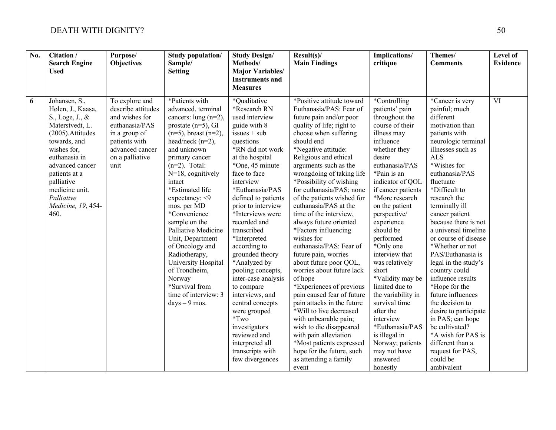| No. | Citation /<br><b>Search Engine</b><br><b>Used</b>                                                                                                                                                                                                             | Purpose/<br><b>Objectives</b>                                                                                                                            | <b>Study population/</b><br>Sample/<br><b>Setting</b>                                                                                                                                                                                                                                                                                                                                                                                                                                                                | <b>Study Design/</b><br>Methods/<br><b>Major Variables/</b>                                                                                                                                                                                                                                                                                                                                                                                                                                                                                                                                      | Result(s)<br><b>Main Findings</b>                                                                                                                                                                                                                                                                                                                                                                                                                                                                                                                                                                                                                                                                                                                                                                                                                                                 | Implications/<br>critique                                                                                                                                                                                                                                                                                                                                                                                                                                                                                                                                         | Themes/<br><b>Comments</b>                                                                                                                                                                                                                                                                                                                                                                                                                                                                                                                                                                                                                                   | Level of<br><b>Evidence</b> |
|-----|---------------------------------------------------------------------------------------------------------------------------------------------------------------------------------------------------------------------------------------------------------------|----------------------------------------------------------------------------------------------------------------------------------------------------------|----------------------------------------------------------------------------------------------------------------------------------------------------------------------------------------------------------------------------------------------------------------------------------------------------------------------------------------------------------------------------------------------------------------------------------------------------------------------------------------------------------------------|--------------------------------------------------------------------------------------------------------------------------------------------------------------------------------------------------------------------------------------------------------------------------------------------------------------------------------------------------------------------------------------------------------------------------------------------------------------------------------------------------------------------------------------------------------------------------------------------------|-----------------------------------------------------------------------------------------------------------------------------------------------------------------------------------------------------------------------------------------------------------------------------------------------------------------------------------------------------------------------------------------------------------------------------------------------------------------------------------------------------------------------------------------------------------------------------------------------------------------------------------------------------------------------------------------------------------------------------------------------------------------------------------------------------------------------------------------------------------------------------------|-------------------------------------------------------------------------------------------------------------------------------------------------------------------------------------------------------------------------------------------------------------------------------------------------------------------------------------------------------------------------------------------------------------------------------------------------------------------------------------------------------------------------------------------------------------------|--------------------------------------------------------------------------------------------------------------------------------------------------------------------------------------------------------------------------------------------------------------------------------------------------------------------------------------------------------------------------------------------------------------------------------------------------------------------------------------------------------------------------------------------------------------------------------------------------------------------------------------------------------------|-----------------------------|
|     |                                                                                                                                                                                                                                                               |                                                                                                                                                          |                                                                                                                                                                                                                                                                                                                                                                                                                                                                                                                      | <b>Instruments and</b><br><b>Measures</b>                                                                                                                                                                                                                                                                                                                                                                                                                                                                                                                                                        |                                                                                                                                                                                                                                                                                                                                                                                                                                                                                                                                                                                                                                                                                                                                                                                                                                                                                   |                                                                                                                                                                                                                                                                                                                                                                                                                                                                                                                                                                   |                                                                                                                                                                                                                                                                                                                                                                                                                                                                                                                                                                                                                                                              |                             |
| 6   | Johansen, S.,<br>Hølen, J., Kaasa,<br>S., Loge, J., &<br>Materstvedt, L.<br>(2005). Attitudes<br>towards, and<br>wishes for,<br>euthanasia in<br>advanced cancer<br>patients at a<br>palliative<br>medicine unit.<br>Palliative<br>Medicine, 19, 454-<br>460. | To explore and<br>describe attitudes<br>and wishes for<br>euthanasia/PAS<br>in a group of<br>patients with<br>advanced cancer<br>on a palliative<br>unit | *Patients with<br>advanced, terminal<br>cancers: lung (n=2),<br>prostate $(n=5)$ , GI<br>$(n=5)$ , breast $(n=2)$ ,<br>head/neck $(n=2)$ ,<br>and unknown<br>primary cancer<br>$(n=2)$ . Total:<br>$N=18$ , cognitively<br>intact<br>*Estimated life<br>expectancy: <9<br>mos. per MD<br>*Convenience<br>sample on the<br>Palliative Medicine<br>Unit, Department<br>of Oncology and<br>Radiotherapy,<br>University Hospital<br>of Trondheim,<br>Norway<br>*Survival from<br>time of interview: 3<br>$days - 9$ mos. | *Qualitative<br>*Research RN<br>used interview<br>guide with 8<br>$is_s = + sub$<br>questions<br>*RN did not work<br>at the hospital<br>*One, 45 minute<br>face to face<br>interview<br>*Euthanasia/PAS<br>defined to patients<br>prior to interview<br>*Interviews were<br>recorded and<br>transcribed<br>*Interpreted<br>according to<br>grounded theory<br>*Analyzed by<br>pooling concepts,<br>inter-case analysis<br>to compare<br>interviews, and<br>central concepts<br>were grouped<br>$*Tw0$<br>investigators<br>reviewed and<br>interpreted all<br>transcripts with<br>few divergences | *Positive attitude toward<br>Euthanasia/PAS: Fear of<br>future pain and/or poor<br>quality of life; right to<br>choose when suffering<br>should end<br>*Negative attitude:<br>Religious and ethical<br>arguments such as the<br>wrongdoing of taking life<br>*Possibility of wishing<br>for euthanasia/PAS; none<br>of the patients wished for<br>euthanasia/PAS at the<br>time of the interview,<br>always future oriented<br>*Factors influencing<br>wishes for<br>euthanasia/PAS: Fear of<br>future pain, worries<br>about future poor QOL,<br>worries about future lack<br>of hope<br>*Experiences of previous<br>pain caused fear of future<br>pain attacks in the future<br>*Will to live decreased<br>with unbearable pain;<br>wish to die disappeared<br>with pain alleviation<br>*Most patients expressed<br>hope for the future, such<br>as attending a family<br>event | *Controlling<br>patients' pain<br>throughout the<br>course of their<br>illness may<br>influence<br>whether they<br>desire<br>euthanasia/PAS<br>*Pain is an<br>indicator of QOL<br>if cancer patients<br>*More research<br>on the patient<br>perspective/<br>experience<br>should be<br>performed<br>*Only one<br>interview that<br>was relatively<br>short<br>*Validity may be<br>limited due to<br>the variability in<br>survival time<br>after the<br>interview<br>*Euthanasia/PAS<br>is illegal in<br>Norway; patients<br>may not have<br>answered<br>honestly | *Cancer is very<br>painful; much<br>different<br>motivation than<br>patients with<br>neurologic terminal<br>illnesses such as<br><b>ALS</b><br>*Wishes for<br>euthanasia/PAS<br>fluctuate<br>*Difficult to<br>research the<br>terminally ill<br>cancer patient<br>because there is not<br>a universal timeline<br>or course of disease<br>*Whether or not<br>PAS/Euthanasia is<br>legal in the study's<br>country could<br>influence results<br>*Hope for the<br>future influences<br>the decision to<br>desire to participate<br>in PAS; can hope<br>be cultivated?<br>*A wish for PAS is<br>different than a<br>request for PAS,<br>could be<br>ambivalent | $\overline{\text{VI}}$      |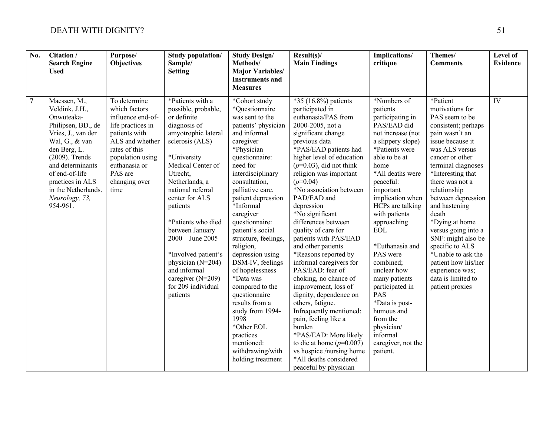| $\overline{No.}$ | Citation /<br><b>Search Engine</b><br><b>Used</b>                                                                                                                                                                                                              | Purpose/<br><b>Objectives</b>                                                                                                                                                                         | <b>Study population/</b><br>Sample/<br><b>Setting</b>                                                                                                                                                                                                                                                                                                                                                                     | <b>Study Design/</b><br>Methods/<br><b>Major Variables/</b><br><b>Instruments and</b><br><b>Measures</b>                                                                                                                                                                                                                                                                                                                                                                                                                                                                            | Result(s)<br><b>Main Findings</b>                                                                                                                                                                                                                                                                                                                                                                                                                                                                                                                                                                                                                                                                                                                                                                      | Implications/<br>critique                                                                                                                                                                                                                                                                                                                                                                                                                                                                        | Themes/<br><b>Comments</b>                                                                                                                                                                                                                                                                                                                                                                                                                                               | Level of<br><b>Evidence</b> |
|------------------|----------------------------------------------------------------------------------------------------------------------------------------------------------------------------------------------------------------------------------------------------------------|-------------------------------------------------------------------------------------------------------------------------------------------------------------------------------------------------------|---------------------------------------------------------------------------------------------------------------------------------------------------------------------------------------------------------------------------------------------------------------------------------------------------------------------------------------------------------------------------------------------------------------------------|-------------------------------------------------------------------------------------------------------------------------------------------------------------------------------------------------------------------------------------------------------------------------------------------------------------------------------------------------------------------------------------------------------------------------------------------------------------------------------------------------------------------------------------------------------------------------------------|--------------------------------------------------------------------------------------------------------------------------------------------------------------------------------------------------------------------------------------------------------------------------------------------------------------------------------------------------------------------------------------------------------------------------------------------------------------------------------------------------------------------------------------------------------------------------------------------------------------------------------------------------------------------------------------------------------------------------------------------------------------------------------------------------------|--------------------------------------------------------------------------------------------------------------------------------------------------------------------------------------------------------------------------------------------------------------------------------------------------------------------------------------------------------------------------------------------------------------------------------------------------------------------------------------------------|--------------------------------------------------------------------------------------------------------------------------------------------------------------------------------------------------------------------------------------------------------------------------------------------------------------------------------------------------------------------------------------------------------------------------------------------------------------------------|-----------------------------|
| $\overline{7}$   | Maessen, M.,<br>Veldink, J.H.,<br>Onwuteaka-<br>Philipsen, BD., de<br>Vries, J., van der<br>Wal, G., & van<br>den Berg, L.<br>$(2009)$ . Trends<br>and determinants<br>of end-of-life<br>practices in ALS<br>in the Netherlands.<br>Neurology, 73,<br>954-961. | To determine<br>which factors<br>influence end-of-<br>life practices in<br>patients with<br>ALS and whether<br>rates of this<br>population using<br>euthanasia or<br>PAS are<br>changing over<br>time | *Patients with a<br>possible, probable,<br>or definite<br>diagnosis of<br>amyotrophic lateral<br>sclerosis (ALS)<br>*University<br>Medical Center of<br>Utrecht,<br>Netherlands, a<br>national referral<br>center for ALS<br>patients<br>*Patients who died<br>between January<br>$2000 - June 2005$<br>*Involved patient's<br>physician (N=204)<br>and informal<br>caregiver $(N=209)$<br>for 209 individual<br>patients | *Cohort study<br>*Questionnaire<br>was sent to the<br>patients' physician<br>and informal<br>caregiver<br>*Physician<br>questionnaire:<br>need for<br>interdisciplinary<br>consultation,<br>palliative care,<br>patient depression<br>*Informal<br>caregiver<br>questionnaire:<br>patient's social<br>structure, feelings,<br>religion,<br>depression using<br>DSM-IV, feelings<br>of hopelessness<br>*Data was<br>compared to the<br>questionnaire<br>results from a<br>study from 1994-<br>1998<br>*Other EOL<br>practices<br>mentioned:<br>withdrawing/with<br>holding treatment | *35 (16.8%) patients<br>participated in<br>euthanasia/PAS from<br>2000-2005, not a<br>significant change<br>previous data<br>*PAS/EAD patients had<br>higher level of education<br>$(p=0.03)$ , did not think<br>religion was important<br>$(p=0.04)$<br>*No association between<br>PAD/EAD and<br>depression<br>*No significant<br>differences between<br>quality of care for<br>patients with PAS/EAD<br>and other patients<br>*Reasons reported by<br>informal caregivers for<br>PAS/EAD: fear of<br>choking, no chance of<br>improvement, loss of<br>dignity, dependence on<br>others, fatigue.<br>Infrequently mentioned:<br>pain, feeling like a<br>burden<br>*PAS/EAD: More likely<br>to die at home $(p=0.007)$<br>vs hospice /nursing home<br>*All deaths considered<br>peaceful by physician | *Numbers of<br>patients<br>participating in<br>PAS/EAD did<br>not increase (not<br>a slippery slope)<br>*Patients were<br>able to be at<br>home<br>*All deaths were<br>peaceful:<br>important<br>implication when<br>HCPs are talking<br>with patients<br>approaching<br>$\rm EOL$<br>*Euthanasia and<br>PAS were<br>combined;<br>unclear how<br>many patients<br>participated in<br>PAS<br>*Data is post-<br>humous and<br>from the<br>physician/<br>informal<br>caregiver, not the<br>patient. | *Patient<br>motivations for<br>PAS seem to be<br>consistent; perhaps<br>pain wasn't an<br>issue because it<br>was ALS versus<br>cancer or other<br>terminal diagnoses<br>*Interesting that<br>there was not a<br>relationship<br>between depression<br>and hastening<br>death<br>*Dying at home<br>versus going into a<br>SNF: might also be<br>specific to ALS<br>*Unable to ask the<br>patient how his/her<br>experience was;<br>data is limited to<br>patient proxies | $\overline{\text{IV}}$      |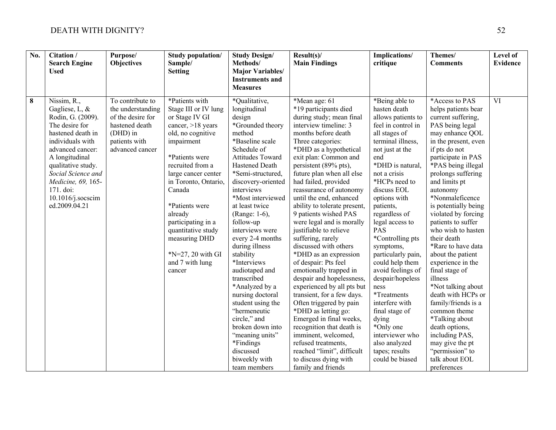| No.      | Citation /<br><b>Search Engine</b><br><b>Used</b>                                                                                                                                                                                                                        | Purpose/<br><b>Objectives</b>                                                                                                | <b>Study population/</b><br>Sample/<br><b>Setting</b>                                                                                                                                                                                                                                                                                                        | <b>Study Design/</b><br>Methods/<br><b>Major Variables/</b><br><b>Instruments and</b><br><b>Measures</b>                                                                                                                                                                                                                                                                                                                                                                                                                                                                                              | Result(s)<br><b>Main Findings</b>                                                                                                                                                                                                                                                                                                                                                                                                                                                                                                                                                                                                                                                                                                                                                                                                                                                                     | Implications/<br>critique                                                                                                                                                                                                                                                                                                                                                                                                                                                                                                                                           | Themes/<br><b>Comments</b>                                                                                                                                                                                                                                                                                                                                                                                                                                                                                                                                                                                                                                                          | Level of<br><b>Evidence</b> |
|----------|--------------------------------------------------------------------------------------------------------------------------------------------------------------------------------------------------------------------------------------------------------------------------|------------------------------------------------------------------------------------------------------------------------------|--------------------------------------------------------------------------------------------------------------------------------------------------------------------------------------------------------------------------------------------------------------------------------------------------------------------------------------------------------------|-------------------------------------------------------------------------------------------------------------------------------------------------------------------------------------------------------------------------------------------------------------------------------------------------------------------------------------------------------------------------------------------------------------------------------------------------------------------------------------------------------------------------------------------------------------------------------------------------------|-------------------------------------------------------------------------------------------------------------------------------------------------------------------------------------------------------------------------------------------------------------------------------------------------------------------------------------------------------------------------------------------------------------------------------------------------------------------------------------------------------------------------------------------------------------------------------------------------------------------------------------------------------------------------------------------------------------------------------------------------------------------------------------------------------------------------------------------------------------------------------------------------------|---------------------------------------------------------------------------------------------------------------------------------------------------------------------------------------------------------------------------------------------------------------------------------------------------------------------------------------------------------------------------------------------------------------------------------------------------------------------------------------------------------------------------------------------------------------------|-------------------------------------------------------------------------------------------------------------------------------------------------------------------------------------------------------------------------------------------------------------------------------------------------------------------------------------------------------------------------------------------------------------------------------------------------------------------------------------------------------------------------------------------------------------------------------------------------------------------------------------------------------------------------------------|-----------------------------|
| $\bf{8}$ | Nissim, R.,<br>Gagliese, L, &<br>Rodin, G. (2009).<br>The desire for<br>hastened death in<br>individuals with<br>advanced cancer:<br>A longitudinal<br>qualitative study.<br>Social Science and<br>Medicine, 69, 165-<br>171. doi:<br>10.1016/j.socscim<br>ed.2009.04.21 | To contribute to<br>the understanding<br>of the desire for<br>hastened death<br>(DHD) in<br>patients with<br>advanced cancer | *Patients with<br>Stage III or IV lung<br>or Stage IV GI<br>cancer, >18 years<br>old, no cognitive<br>impairment<br>*Patients were<br>recruited from a<br>large cancer center<br>in Toronto, Ontario,<br>Canada<br>*Patients were<br>already<br>participating in a<br>quantitative study<br>measuring DHD<br>$N=27, 20$ with GI<br>and 7 with lung<br>cancer | *Qualitative,<br>longitudinal<br>design<br>*Grounded theory<br>method<br>*Baseline scale<br>Schedule of<br>Attitudes Toward<br><b>Hastened Death</b><br>*Semi-structured,<br>discovery-oriented<br>interviews<br>*Most interviewed<br>at least twice<br>(Range: 1-6),<br>follow-up<br>interviews were<br>every 2-4 months<br>during illness<br>stability<br>*Interviews<br>audiotaped and<br>transcribed<br>*Analyzed by a<br>nursing doctoral<br>student using the<br>"hermeneutic<br>circle," and<br>broken down into<br>"meaning units"<br>*Findings<br>discussed<br>biweekly with<br>team members | *Mean age: 61<br>*19 participants died<br>during study; mean final<br>interview timeline: 3<br>months before death<br>Three categories:<br>*DHD as a hypothetical<br>exit plan: Common and<br>persistent (89% pts),<br>future plan when all else<br>had failed, provided<br>reassurance of autonomy<br>until the end, enhanced<br>ability to tolerate present,<br>9 patients wished PAS<br>were legal and is morally<br>justifiable to relieve<br>suffering, rarely<br>discussed with others<br>*DHD as an expression<br>of despair: Pts feel<br>emotionally trapped in<br>despair and hopelessness,<br>experienced by all pts but<br>transient, for a few days.<br>Often triggered by pain<br>*DHD as letting go:<br>Emerged in final weeks,<br>recognition that death is<br>imminent, welcomed,<br>refused treatments,<br>reached "limit", difficult<br>to discuss dying with<br>family and friends | *Being able to<br>hasten death<br>allows patients to<br>feel in control in<br>all stages of<br>terminal illness,<br>not just at the<br>end<br>*DHD is natural,<br>not a crisis<br>*HCPs need to<br>discuss EOL<br>options with<br>patients,<br>regardless of<br>legal access to<br>PAS<br>*Controlling pts<br>symptoms,<br>particularly pain,<br>could help them<br>avoid feelings of<br>despair/hopeless<br>ness<br>*Treatments<br>interfere with<br>final stage of<br>dying<br>*Only one<br>interviewer who<br>also analyzed<br>tapes; results<br>could be biased | *Access to PAS<br>helps patients bear<br>current suffering,<br>PAS being legal<br>may enhance QOL<br>in the present, even<br>if pts do not<br>participate in PAS<br>*PAS being illegal<br>prolongs suffering<br>and limits pt<br>autonomy<br>*Nonmaleficence<br>is potentially being<br>violated by forcing<br>patients to suffer<br>who wish to hasten<br>their death<br>*Rare to have data<br>about the patient<br>experience in the<br>final stage of<br>illness<br>*Not talking about<br>death with HCPs or<br>family/friends is a<br>common theme<br>*Talking about<br>death options,<br>including PAS,<br>may give the pt<br>"permission" to<br>talk about EOL<br>preferences | $\overline{\text{VI}}$      |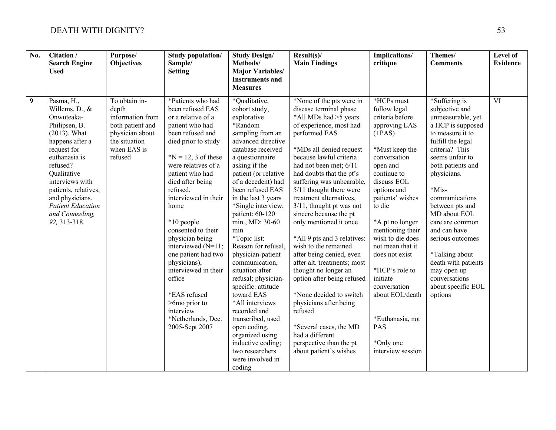| $\overline{No.}$ | Citation /<br><b>Search Engine</b><br><b>Used</b>                                                                                                                                                                                                                                         | Purpose/<br><b>Objectives</b>                                                                                                | Study population/<br>Sample/<br><b>Setting</b>                                                                                                                                                                                                                                                                                                                                                                                                                                                           | <b>Study Design/</b><br>Methods/<br><b>Major Variables/</b><br><b>Instruments and</b><br><b>Measures</b>                                                                                                                                                                                                                                                                                                                                                                                                                                                                                                                                             | Result(s)<br><b>Main Findings</b>                                                                                                                                                                                                                                                                                                                                                                                                                                                                                                                                                                                                                                                                                                                | Implications/<br>critique                                                                                                                                                                                                                                                                                                                                                                                                          | Themes/<br><b>Comments</b>                                                                                                                                                                                                                                                                                                                                                                                                    | Level of<br><b>Evidence</b> |
|------------------|-------------------------------------------------------------------------------------------------------------------------------------------------------------------------------------------------------------------------------------------------------------------------------------------|------------------------------------------------------------------------------------------------------------------------------|----------------------------------------------------------------------------------------------------------------------------------------------------------------------------------------------------------------------------------------------------------------------------------------------------------------------------------------------------------------------------------------------------------------------------------------------------------------------------------------------------------|------------------------------------------------------------------------------------------------------------------------------------------------------------------------------------------------------------------------------------------------------------------------------------------------------------------------------------------------------------------------------------------------------------------------------------------------------------------------------------------------------------------------------------------------------------------------------------------------------------------------------------------------------|--------------------------------------------------------------------------------------------------------------------------------------------------------------------------------------------------------------------------------------------------------------------------------------------------------------------------------------------------------------------------------------------------------------------------------------------------------------------------------------------------------------------------------------------------------------------------------------------------------------------------------------------------------------------------------------------------------------------------------------------------|------------------------------------------------------------------------------------------------------------------------------------------------------------------------------------------------------------------------------------------------------------------------------------------------------------------------------------------------------------------------------------------------------------------------------------|-------------------------------------------------------------------------------------------------------------------------------------------------------------------------------------------------------------------------------------------------------------------------------------------------------------------------------------------------------------------------------------------------------------------------------|-----------------------------|
| 9                | Pasma, H.,<br>Willems, D., &<br>Onwuteaka-<br>Philipsen, B.<br>$(2013)$ . What<br>happens after a<br>request for<br>euthanasia is<br>refused?<br>Qualitative<br>interviews with<br>patients, relatives,<br>and physicians.<br><b>Patient Education</b><br>and Counseling,<br>92, 313-318. | To obtain in-<br>depth<br>information from<br>both patient and<br>physician about<br>the situation<br>when EAS is<br>refused | *Patients who had<br>been refused EAS<br>or a relative of a<br>patient who had<br>been refused and<br>died prior to study<br>$N = 12$ , 3 of these<br>were relatives of a<br>patient who had<br>died after being<br>refused,<br>interviewed in their<br>home<br>*10 people<br>consented to their<br>physician being<br>interviewed (N=11;<br>one patient had two<br>physicians),<br>interviewed in their<br>office<br>*EAS refused<br>>6mo prior to<br>interview<br>*Netherlands, Dec.<br>2005-Sept 2007 | *Qualitative,<br>cohort study,<br>explorative<br>*Random<br>sampling from an<br>advanced directive<br>database received<br>a questionnaire<br>asking if the<br>patient (or relative<br>of a decedent) had<br>been refused EAS<br>in the last 3 years<br>*Single interview,<br>patient: 60-120<br>min., MD: 30-60<br>min<br>*Topic list:<br>Reason for refusal,<br>physician-patient<br>communication,<br>situation after<br>refusal; physician-<br>specific: attitude<br>toward EAS<br>*All interviews<br>recorded and<br>transcribed, used<br>open coding,<br>organized using<br>inductive coding;<br>two researchers<br>were involved in<br>coding | *None of the pts were in<br>disease terminal phase<br>*All MDs had >5 years<br>of experience, most had<br>performed EAS<br>*MDs all denied request<br>because lawful criteria<br>had not been met; 6/11<br>had doubts that the pt's<br>suffering was unbearable,<br>5/11 thought there were<br>treatment alternatives,<br>3/11, thought pt was not<br>sincere because the pt<br>only mentioned it once<br>*All 9 pts and 3 relatives:<br>wish to die remained<br>after being denied, even<br>after alt. treatments; most<br>thought no longer an<br>option after being refused<br>*None decided to switch<br>physicians after being<br>refused<br>*Several cases, the MD<br>had a different<br>perspective than the pt<br>about patient's wishes | *HCPs must<br>follow legal<br>criteria before<br>approving EAS<br>$(+PAS)$<br>*Must keep the<br>conversation<br>open and<br>continue to<br>discuss EOL<br>options and<br>patients' wishes<br>to die<br>*A pt no longer<br>mentioning their<br>wish to die does<br>not mean that it<br>does not exist<br>*HCP's role to<br>initiate<br>conversation<br>about EOL/death<br>*Euthanasia, not<br>PAS<br>*Only one<br>interview session | *Suffering is<br>subjective and<br>unmeasurable, yet<br>a HCP is supposed<br>to measure it to<br>fulfill the legal<br>criteria? This<br>seems unfair to<br>both patients and<br>physicians.<br>$*$ Mis-<br>communications<br>between pts and<br>MD about EOL<br>care are common<br>and can have<br>serious outcomes<br>*Talking about<br>death with patients<br>may open up<br>conversations<br>about specific EOL<br>options | $\overline{\text{VI}}$      |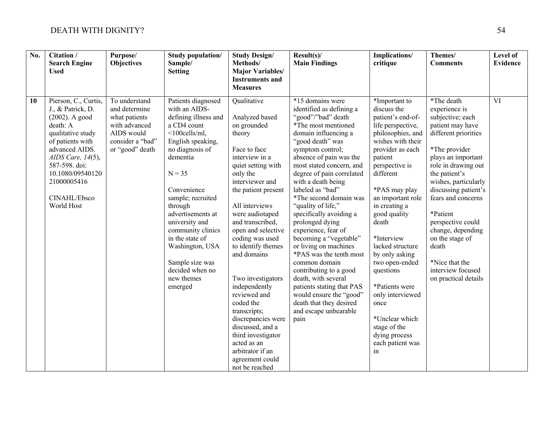| $\overline{No.}$ | Citation /<br><b>Search Engine</b><br><b>Used</b>                                                                                                                                                                                               | Purpose/<br><b>Objectives</b>                                                                                         | Study population/<br>Sample/<br><b>Setting</b>                                                                                                                                                                                                                                                                                                                                 | <b>Study Design/</b><br>Methods/<br><b>Major Variables/</b><br><b>Instruments and</b><br><b>Measures</b>                                                                                                                                                                                                                                                                                                                                                                                                                               | Result(s)<br><b>Main Findings</b>                                                                                                                                                                                                                                                                                                                                                                                                                                                                                                                                                                                                                                                | Implications/<br>critique                                                                                                                                                                                                                                                                                                                                                                                                                                                    | Themes/<br><b>Comments</b>                                                                                                                                                                                                                                                                                                                                                                        | Level of<br><b>Evidence</b> |
|------------------|-------------------------------------------------------------------------------------------------------------------------------------------------------------------------------------------------------------------------------------------------|-----------------------------------------------------------------------------------------------------------------------|--------------------------------------------------------------------------------------------------------------------------------------------------------------------------------------------------------------------------------------------------------------------------------------------------------------------------------------------------------------------------------|----------------------------------------------------------------------------------------------------------------------------------------------------------------------------------------------------------------------------------------------------------------------------------------------------------------------------------------------------------------------------------------------------------------------------------------------------------------------------------------------------------------------------------------|----------------------------------------------------------------------------------------------------------------------------------------------------------------------------------------------------------------------------------------------------------------------------------------------------------------------------------------------------------------------------------------------------------------------------------------------------------------------------------------------------------------------------------------------------------------------------------------------------------------------------------------------------------------------------------|------------------------------------------------------------------------------------------------------------------------------------------------------------------------------------------------------------------------------------------------------------------------------------------------------------------------------------------------------------------------------------------------------------------------------------------------------------------------------|---------------------------------------------------------------------------------------------------------------------------------------------------------------------------------------------------------------------------------------------------------------------------------------------------------------------------------------------------------------------------------------------------|-----------------------------|
| 10               | Pierson, C., Curtis,<br>J., & Patrick, D.<br>$(2002)$ . A good<br>death: A<br>qualitative study<br>of patients with<br>advanced AIDS.<br>AIDS Care, $14(5)$ ,<br>587-598. doi:<br>10.1080/09540120<br>21000005416<br>CINAHL/Ebsco<br>World Host | To understand<br>and determine<br>what patients<br>with advanced<br>AIDS would<br>consider a "bad"<br>or "good" death | Patients diagnosed<br>with an AIDS-<br>defining illness and<br>a CD4 count<br>$<$ 100cells/ml,<br>English speaking,<br>no diagnosis of<br>dementia<br>$N = 35$<br>Convenience<br>sample; recruited<br>through<br>advertisements at<br>university and<br>community clinics<br>in the state of<br>Washington, USA<br>Sample size was<br>decided when no<br>new themes<br>emerged | Qualitative<br>Analyzed based<br>on grounded<br>theory<br>Face to face<br>interview in a<br>quiet setting with<br>only the<br>interviewer and<br>the patient present<br>All interviews<br>were audiotaped<br>and transcribed,<br>open and selective<br>coding was used<br>to identify themes<br>and domains<br>Two investigators<br>independently<br>reviewed and<br>coded the<br>transcripts;<br>discrepancies were<br>discussed, and a<br>third investigator<br>acted as an<br>arbitrator if an<br>agreement could<br>not be reached | *15 domains were<br>identified as defining a<br>"good"/"bad" death<br>*The most mentioned<br>domain influencing a<br>"good death" was<br>symptom control;<br>absence of pain was the<br>most stated concern, and<br>degree of pain correlated<br>with a death being<br>labeled as "bad"<br>*The second domain was<br>"quality of life,"<br>specifically avoiding a<br>prolonged dying<br>experience, fear of<br>becoming a "vegetable"<br>or living on machines<br>*PAS was the tenth most<br>common domain<br>contributing to a good<br>death, with several<br>patients stating that PAS<br>would ensure the "good"<br>death that they desired<br>and escape unbearable<br>pain | *Important to<br>discuss the<br>patient's end-of-<br>life perspective,<br>philosophies, and<br>wishes with their<br>provider as each<br>patient<br>perspective is<br>different<br>*PAS may play<br>an important role<br>in creating a<br>good quality<br>death<br>*Interview<br>lacked structure<br>by only asking<br>two open-ended<br>questions<br>*Patients were<br>only interviewed<br>once<br>*Unclear which<br>stage of the<br>dying process<br>each patient was<br>in | *The death<br>experience is<br>subjective; each<br>patient may have<br>different priorities<br>*The provider<br>plays an important<br>role in drawing out<br>the patient's<br>wishes, particularly<br>discussing patient's<br>fears and concerns<br>*Patient<br>perspective could<br>change, depending<br>on the stage of<br>death<br>*Nice that the<br>interview focused<br>on practical details | $\overline{\text{VI}}$      |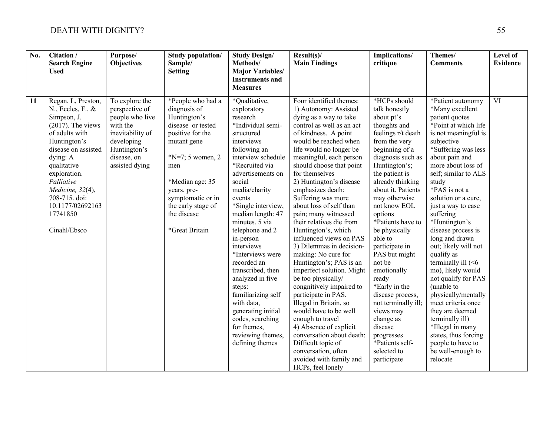| No. | Citation /<br><b>Search Engine</b><br><b>Used</b>                                                                                                                                                                                                                                     | Purpose/<br><b>Objectives</b>                                                                                                                      | <b>Study population/</b><br>Sample/<br><b>Setting</b>                                                                                                                                                                                                | <b>Study Design/</b><br>Methods/<br><b>Major Variables/</b><br><b>Instruments and</b><br><b>Measures</b>                                                                                                                                                                                                                                                                                                                                                                                                                                          | Result(s)<br><b>Main Findings</b>                                                                                                                                                                                                                                                                                                                                                                                                                                                                                                                                                                                                                                                                                                                                                                                                                                                  | Implications/<br>critique                                                                                                                                                                                                                                                                                                                                                                                                                                                                                                                                | Themes/<br><b>Comments</b>                                                                                                                                                                                                                                                                                                                                                                                                                                                                                                                                                                                                                                             | <b>Level of</b><br><b>Evidence</b> |
|-----|---------------------------------------------------------------------------------------------------------------------------------------------------------------------------------------------------------------------------------------------------------------------------------------|----------------------------------------------------------------------------------------------------------------------------------------------------|------------------------------------------------------------------------------------------------------------------------------------------------------------------------------------------------------------------------------------------------------|---------------------------------------------------------------------------------------------------------------------------------------------------------------------------------------------------------------------------------------------------------------------------------------------------------------------------------------------------------------------------------------------------------------------------------------------------------------------------------------------------------------------------------------------------|------------------------------------------------------------------------------------------------------------------------------------------------------------------------------------------------------------------------------------------------------------------------------------------------------------------------------------------------------------------------------------------------------------------------------------------------------------------------------------------------------------------------------------------------------------------------------------------------------------------------------------------------------------------------------------------------------------------------------------------------------------------------------------------------------------------------------------------------------------------------------------|----------------------------------------------------------------------------------------------------------------------------------------------------------------------------------------------------------------------------------------------------------------------------------------------------------------------------------------------------------------------------------------------------------------------------------------------------------------------------------------------------------------------------------------------------------|------------------------------------------------------------------------------------------------------------------------------------------------------------------------------------------------------------------------------------------------------------------------------------------------------------------------------------------------------------------------------------------------------------------------------------------------------------------------------------------------------------------------------------------------------------------------------------------------------------------------------------------------------------------------|------------------------------------|
| 11  | Regan, L, Preston,<br>N., Eccles, F., &<br>Simpson, J.<br>$(2017)$ . The views<br>of adults with<br>Huntington's<br>disease on assisted<br>dying: A<br>qualitative<br>exploration.<br>Palliative<br>Medicine, 32(4),<br>708-715. doi:<br>10.1177/02692163<br>17741850<br>Cinahl/Ebsco | To explore the<br>perspective of<br>people who live<br>with the<br>inevitability of<br>developing<br>Huntington's<br>disease, on<br>assisted dying | *People who had a<br>diagnosis of<br>Huntington's<br>disease or tested<br>positive for the<br>mutant gene<br>$N=7$ ; 5 women, 2<br>men<br>*Median age: 35<br>years, pre-<br>symptomatic or in<br>the early stage of<br>the disease<br>*Great Britain | *Qualitative,<br>exploratory<br>research<br>*Individual semi-<br>structured<br>interviews<br>following an<br>interview schedule<br>*Recruited via<br>advertisements on<br>social<br>media/charity<br>events<br>*Single interview,<br>median length: 47<br>minutes. 5 via<br>telephone and 2<br>in-person<br>interviews<br>*Interviews were<br>recorded an<br>transcribed, then<br>analyzed in five<br>steps:<br>familiarizing self<br>with data,<br>generating initial<br>codes, searching<br>for themes,<br>reviewing themes,<br>defining themes | Four identified themes:<br>1) Autonomy: Assisted<br>dying as a way to take<br>control as well as an act<br>of kindness. A point<br>would be reached when<br>life would no longer be<br>meaningful, each person<br>should choose that point<br>for themselves<br>2) Huntington's disease<br>emphasizes death:<br>Suffering was more<br>about loss of self than<br>pain; many witnessed<br>their relatives die from<br>Huntington's, which<br>influenced views on PAS<br>3) Dilemmas in decision-<br>making: No cure for<br>Huntington's; PAS is an<br>imperfect solution. Might<br>be too physically/<br>congnitively impaired to<br>participate in PAS.<br>Illegal in Britain, so<br>would have to be well<br>enough to travel<br>4) Absence of explicit<br>conversation about death:<br>Difficult topic of<br>conversation, often<br>avoided with family and<br>HCPs, feel lonely | *HCPs should<br>talk honestly<br>about pt's<br>thoughts and<br>feelings r/t death<br>from the very<br>beginning of a<br>diagnosis such as<br>Huntington's;<br>the patient is<br>already thinking<br>about it. Patients<br>may otherwise<br>not know EOL<br>options<br>*Patients have to<br>be physically<br>able to<br>participate in<br>PAS but might<br>not be<br>emotionally<br>ready<br>*Early in the<br>disease process,<br>not terminally ill;<br>views may<br>change as<br>disease<br>progresses<br>*Patients self-<br>selected to<br>participate | *Patient autonomy<br>*Many excellent<br>patient quotes<br>*Point at which life<br>is not meaningful is<br>subjective<br>*Suffering was less<br>about pain and<br>more about loss of<br>self; similar to ALS<br>study<br>*PAS is not a<br>solution or a cure,<br>just a way to ease<br>suffering<br>*Huntington's<br>disease process is<br>long and drawn<br>out; likely will not<br>qualify as<br>terminally ill $(< 6$<br>mo), likely would<br>not qualify for PAS<br>(unable to<br>physically/mentally<br>meet criteria once<br>they are deemed<br>terminally ill)<br>*Illegal in many<br>states, thus forcing<br>people to have to<br>be well-enough to<br>relocate | $\overline{\text{VI}}$             |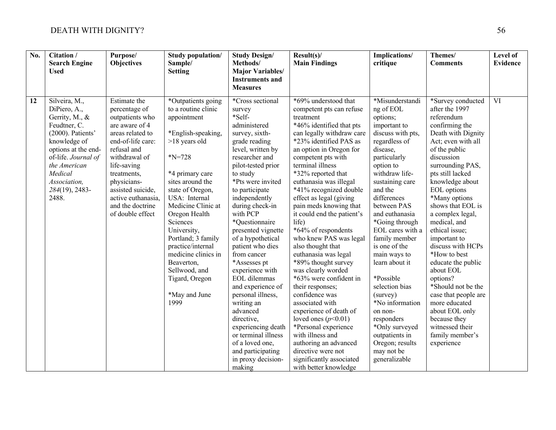| $\overline{No.}$ | Citation /<br><b>Search Engine</b><br><b>Used</b>                                                                                                                                                                        | Purpose/<br><b>Objectives</b>                                                                                                                                                                                                                                               | <b>Study population/</b><br>Sample/<br><b>Setting</b>                                                                                                                                                                                                                                                                                                                                                  | <b>Study Design/</b><br>Methods/<br><b>Major Variables/</b><br><b>Instruments and</b><br><b>Measures</b>                                                                                                                                                                                                                                                                                                                                                                                                                                                                                                          | Result(s)<br><b>Main Findings</b>                                                                                                                                                                                                                                                                                                                                                                                                                                                                                                                                                                                                                                                                                                                                                                                            | Implications/<br>critique                                                                                                                                                                                                                                                                                                                                                                                                                                                                                                      | Themes/<br><b>Comments</b>                                                                                                                                                                                                                                                                                                                                                                                                                                                                                                                                                    | <b>Level of</b><br><b>Evidence</b> |
|------------------|--------------------------------------------------------------------------------------------------------------------------------------------------------------------------------------------------------------------------|-----------------------------------------------------------------------------------------------------------------------------------------------------------------------------------------------------------------------------------------------------------------------------|--------------------------------------------------------------------------------------------------------------------------------------------------------------------------------------------------------------------------------------------------------------------------------------------------------------------------------------------------------------------------------------------------------|-------------------------------------------------------------------------------------------------------------------------------------------------------------------------------------------------------------------------------------------------------------------------------------------------------------------------------------------------------------------------------------------------------------------------------------------------------------------------------------------------------------------------------------------------------------------------------------------------------------------|------------------------------------------------------------------------------------------------------------------------------------------------------------------------------------------------------------------------------------------------------------------------------------------------------------------------------------------------------------------------------------------------------------------------------------------------------------------------------------------------------------------------------------------------------------------------------------------------------------------------------------------------------------------------------------------------------------------------------------------------------------------------------------------------------------------------------|--------------------------------------------------------------------------------------------------------------------------------------------------------------------------------------------------------------------------------------------------------------------------------------------------------------------------------------------------------------------------------------------------------------------------------------------------------------------------------------------------------------------------------|-------------------------------------------------------------------------------------------------------------------------------------------------------------------------------------------------------------------------------------------------------------------------------------------------------------------------------------------------------------------------------------------------------------------------------------------------------------------------------------------------------------------------------------------------------------------------------|------------------------------------|
| 12               | Silveira, M.,<br>DiPiero, A.,<br>Gerrity, M., &<br>Feudtner, C.<br>(2000). Patients'<br>knowledge of<br>options at the end-<br>of-life. Journal of<br>the American<br>Medical<br>Association,<br>284(19), 2483-<br>2488. | Estimate the<br>percentage of<br>outpatients who<br>are aware of 4<br>areas related to<br>end-of-life care:<br>refusal and<br>withdrawal of<br>life-saving<br>treatments,<br>physicians-<br>assisted suicide,<br>active euthanasia,<br>and the doctrine<br>of double effect | *Outpatients going<br>to a routine clinic<br>appointment<br>*English-speaking,<br>>18 years old<br>$N = 728$<br>*4 primary care<br>sites around the<br>state of Oregon,<br>USA: Internal<br>Medicine Clinic at<br>Oregon Health<br>Sciences<br>University,<br>Portland; 3 family<br>practice/internal<br>medicine clinics in<br>Beaverton,<br>Sellwood, and<br>Tigard, Oregon<br>*May and June<br>1999 | *Cross sectional<br>survey<br>*Self-<br>administered<br>survey, sixth-<br>grade reading<br>level, written by<br>researcher and<br>pilot-tested prior<br>to study<br>*Pts were invited<br>to participate<br>independently<br>during check-in<br>with PCP<br>*Questionnaire<br>presented vignette<br>of a hypothetical<br>patient who dies<br>from cancer<br>*Assesses pt<br>experience with<br>EOL dilemmas<br>and experience of<br>personal illness,<br>writing an<br>advanced<br>directive,<br>experiencing death<br>or terminal illness<br>of a loved one,<br>and participating<br>in proxy decision-<br>making | *69% understood that<br>competent pts can refuse<br>treatment<br>*46% identified that pts<br>can legally withdraw care<br>*23% identified PAS as<br>an option in Oregon for<br>competent pts with<br>terminal illness<br>*32% reported that<br>euthanasia was illegal<br>*41% recognized double<br>effect as legal (giving<br>pain meds knowing that<br>it could end the patient's<br>life)<br>*64% of respondents<br>who knew PAS was legal<br>also thought that<br>euthanasia was legal<br>*89% thought survey<br>was clearly worded<br>*63% were confident in<br>their responses;<br>confidence was<br>associated with<br>experience of death of<br>loved ones $(p<0.01)$<br>*Personal experience<br>with illness and<br>authoring an advanced<br>directive were not<br>significantly associated<br>with better knowledge | *Misunderstandi<br>ng of EOL<br>options;<br>important to<br>discuss with pts,<br>regardless of<br>disease,<br>particularly<br>option to<br>withdraw life-<br>sustaining care<br>and the<br>differences<br>between PAS<br>and euthanasia<br>*Going through<br>EOL cares with a<br>family member<br>is one of the<br>main ways to<br>learn about it<br>*Possible<br>selection bias<br>(survey)<br>*No information<br>on non-<br>responders<br>*Only surveyed<br>outpatients in<br>Oregon; results<br>may not be<br>generalizable | *Survey conducted<br>after the 1997<br>referendum<br>confirming the<br>Death with Dignity<br>Act; even with all<br>of the public<br>discussion<br>surrounding PAS,<br>pts still lacked<br>knowledge about<br>EOL options<br>*Many options<br>shows that EOL is<br>a complex legal,<br>medical, and<br>ethical issue;<br>important to<br>discuss with HCPs<br>*How to best<br>educate the public<br>about EOL<br>options?<br>*Should not be the<br>case that people are<br>more educated<br>about EOL only<br>because they<br>witnessed their<br>family member's<br>experience | VI                                 |